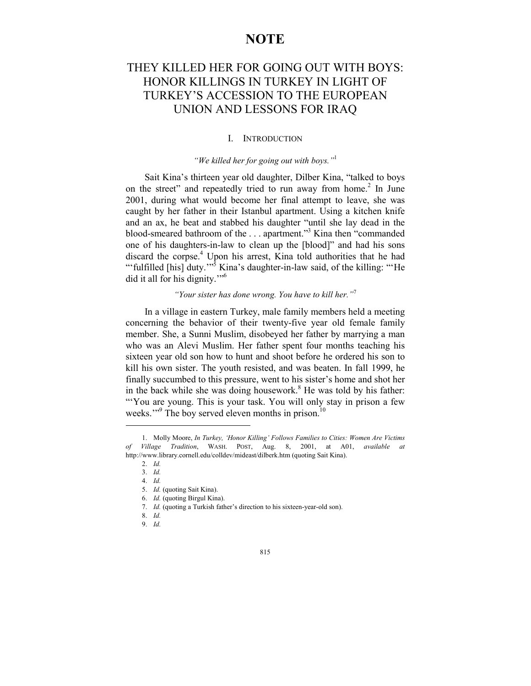# **NOTE**

# THEY KILLED HER FOR GOING OUT WITH BOYS: HONOR KILLINGS IN TURKEY IN LIGHT OF TURKEY'S ACCESSION TO THE EUROPEAN UNION AND LESSONS FOR IRAQ

# I. INTRODUCTION

# *"We killed her for going out with boys."*<sup>1</sup>

Sait Kina's thirteen year old daughter, Dilber Kina, "talked to boys on the street" and repeatedly tried to run away from home.<sup>2</sup> In June 2001, during what would become her final attempt to leave, she was caught by her father in their Istanbul apartment. Using a kitchen knife and an ax, he beat and stabbed his daughter "until she lay dead in the blood-smeared bathroom of the ... apartment."<sup>3</sup> Kina then "commanded one of his daughters-in-law to clean up the [blood]" and had his sons discard the corpse.<sup>4</sup> Upon his arrest, Kina told authorities that he had "'fulfilled [his] duty."<sup>5</sup> Kina's daughter-in-law said, of the killing: "He did it all for his dignity.'"<sup>6</sup>

## *"Your sister has done wrong. You have to kill her."*<sup>7</sup>

In a village in eastern Turkey, male family members held a meeting concerning the behavior of their twenty-five year old female family member. She, a Sunni Muslim, disobeyed her father by marrying a man who was an Alevi Muslim. Her father spent four months teaching his sixteen year old son how to hunt and shoot before he ordered his son to kill his own sister. The youth resisted, and was beaten. In fall 1999, he finally succumbed to this pressure, went to his sister's home and shot her in the back while she was doing housework.<sup>8</sup> He was told by his father: "You are young. This is your task. You will only stay in prison a few weeks."<sup>3</sup> The boy served eleven months in prison.<sup>10</sup>

 <sup>1.</sup> Molly Moore, *In Turkey, 'Honor Killing' Follows Families to Cities: Women Are Victims of Village Tradition*, WASH. POST, Aug. 8, 2001, at A01, *available at* http://www.library.cornell.edu/colldev/mideast/dilberk.htm (quoting Sait Kina).

<sup>2.</sup> *Id.*

<sup>3.</sup> *Id.*

<sup>4.</sup> *Id.*

<sup>5.</sup> *Id.* (quoting Sait Kina).

<sup>6.</sup> *Id.* (quoting Birgul Kina).

<sup>7.</sup> *Id.* (quoting a Turkish father's direction to his sixteen-year-old son).

<sup>8.</sup> *Id.*

<sup>9.</sup> *Id.*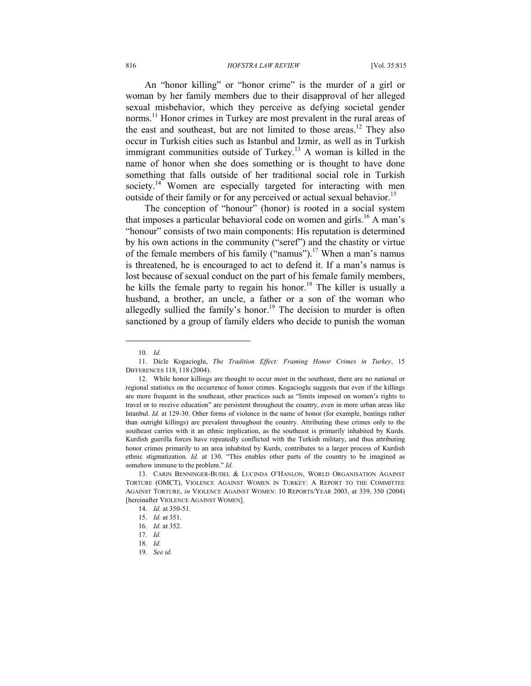#### 816 *HOFSTRA LAW REVIEW* [Vol. 35:815

An "honor killing" or "honor crime" is the murder of a girl or woman by her family members due to their disapproval of her alleged sexual misbehavior, which they perceive as defying societal gender norms.<sup>11</sup> Honor crimes in Turkey are most prevalent in the rural areas of the east and southeast, but are not limited to those areas.<sup>12</sup> They also occur in Turkish cities such as Istanbul and Izmir, as well as in Turkish immigrant communities outside of Turkey.<sup>13</sup> A woman is killed in the name of honor when she does something or is thought to have done something that falls outside of her traditional social role in Turkish society.<sup>14</sup> Women are especially targeted for interacting with men outside of their family or for any perceived or actual sexual behavior.<sup>15</sup>

The conception of "honour" (honor) is rooted in a social system that imposes a particular behavioral code on women and girls.<sup>16</sup> A man's "honour" consists of two main components: His reputation is determined by his own actions in the community ("seref") and the chastity or virtue of the female members of his family ("namus").<sup>17</sup> When a man's namus is threatened, he is encouraged to act to defend it. If a man's namus is lost because of sexual conduct on the part of his female family members, he kills the female party to regain his honor.<sup>18</sup> The killer is usually a husband, a brother, an uncle, a father or a son of the woman who allegedly sullied the family's honor.<sup>19</sup> The decision to murder is often sanctioned by a group of family elders who decide to punish the woman

-

19. *See id.*

<sup>10.</sup> *Id.*

 <sup>11.</sup> Dicle Kogacioglu, *The Tradition Effect: Framing Honor Crimes in Turkey*, 15 DIFFERENCES 118, 118 (2004).

 <sup>12.</sup> While honor killings are thought to occur most in the southeast, there are no national or regional statistics on the occurrence of honor crimes. Kogacioglu suggests that even if the killings are more frequent in the southeast, other practices such as "limits imposed on women's rights to travel or to receive education" are persistent throughout the country, even in more urban areas like Istanbul. *Id.* at 129-30. Other forms of violence in the name of honor (for example, beatings rather than outright killings) are prevalent throughout the country. Attributing these crimes only to the southeast carries with it an ethnic implication, as the southeast is primarily inhabited by Kurds. Kurdish guerilla forces have repeatedly conflicted with the Turkish military, and thus attributing honor crimes primarily to an area inhabited by Kurds, contributes to a larger process of Kurdish ethnic stigmatization. *Id.* at 130. "This enables other parts of the country to be imagined as somehow immune to the problem." *Id.*

 <sup>13.</sup> CARIN BENNINGER-BUDEL & LUCINDA O'HANLON, WORLD ORGANISATION AGAINST TORTURE (OMCT), VIOLENCE AGAINST WOMEN IN TURKEY: A REPORT TO THE COMMITTEE AGAINST TORTURE, *in* VIOLENCE AGAINST WOMEN: 10 REPORTS/YEAR 2003, at 339, 350 (2004) [hereinafter VIOLENCE AGAINST WOMEN].

<sup>14.</sup> *Id.* at 350-51.

<sup>15.</sup> *Id.* at 351.

<sup>16.</sup> *Id.* at 352.

<sup>17.</sup> *Id.*

<sup>18.</sup> *Id.*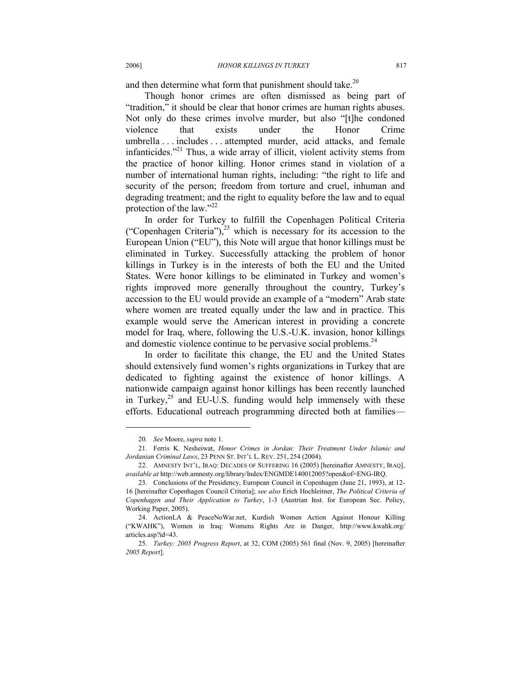and then determine what form that punishment should take. $20$ 

Though honor crimes are often dismissed as being part of "tradition," it should be clear that honor crimes are human rights abuses. Not only do these crimes involve murder, but also "[t]he condoned violence that exists under the Honor Crime umbrella . . . includes . . . attempted murder, acid attacks, and female infanticides."<sup>21</sup> Thus, a wide array of illicit, violent activity stems from the practice of honor killing. Honor crimes stand in violation of a number of international human rights, including: "the right to life and security of the person; freedom from torture and cruel, inhuman and degrading treatment; and the right to equality before the law and to equal protection of the law." $^{22}$ 

In order for Turkey to fulfill the Copenhagen Political Criteria ("Copenhagen Criteria"), $^{23}$  which is necessary for its accession to the European Union ("EU"), this Note will argue that honor killings must be eliminated in Turkey. Successfully attacking the problem of honor killings in Turkey is in the interests of both the EU and the United States. Were honor killings to be eliminated in Turkey and women's rights improved more generally throughout the country, Turkey's accession to the EU would provide an example of a "modern" Arab state where women are treated equally under the law and in practice. This example would serve the American interest in providing a concrete model for Iraq, where, following the U.S.-U.K. invasion, honor killings and domestic violence continue to be pervasive social problems.<sup>24</sup>

In order to facilitate this change, the EU and the United States should extensively fund women's rights organizations in Turkey that are dedicated to fighting against the existence of honor killings. A nationwide campaign against honor killings has been recently launched in Turkey, $^{25}$  and EU-U.S. funding would help immensely with these efforts. Educational outreach programming directed both at families—

<sup>20.</sup> *See* Moore, *supra* note 1.

 <sup>21.</sup> Ferris K. Nesheiwat, *Honor Crimes in Jordan: Their Treatment Under Islamic and Jordanian Criminal Laws*, 23 PENN ST. INT'L L. REV. 251, 254 (2004).

 <sup>22.</sup> AMNESTY INT'L, IRAQ: DECADES OF SUFFERING 16 (2005) [hereinafter AMNESTY, IRAQ], *available at* http://web.amnesty.org/library/Index/ENGMDE140012005?open&of=ENG-IRQ.

<sup>23.</sup> Conclusions of the Presidency, European Council in Copenhagen (June 21, 1993), at 12- 16 [hereinafter Copenhagen Council Criteria]; *see also* Erich Hochleitner, *The Political Criteria of Copenhagen and Their Application to Turkey*, 1-3 (Austrian Inst. for European Sec. Policy, Working Paper, 2005).

 <sup>24.</sup> ActionLA & PeaceNoWar.net, Kurdish Women Action Against Honour Killing ("KWAHK"), Women in Iraq: Womens Rights Are in Danger, http://www.kwahk.org/ articles.asp?id=43.

<sup>25.</sup> *Turkey: 2005 Progress Report*, at 32, COM (2005) 561 final (Nov. 9, 2005) [hereinafter *2005 Report*].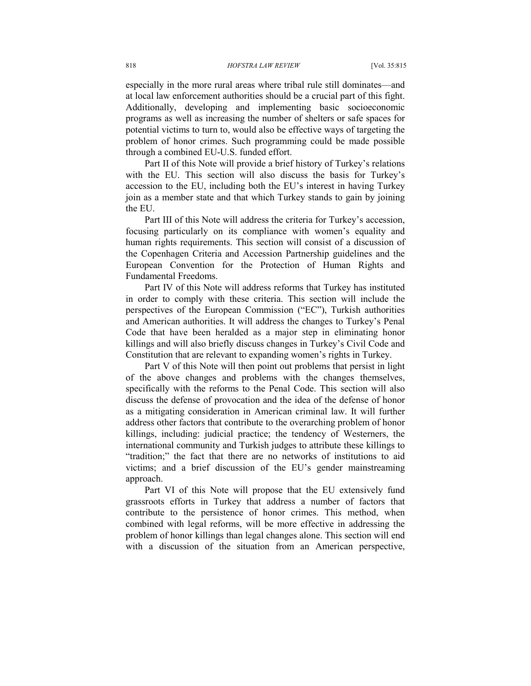especially in the more rural areas where tribal rule still dominates—and at local law enforcement authorities should be a crucial part of this fight. Additionally, developing and implementing basic socioeconomic programs as well as increasing the number of shelters or safe spaces for potential victims to turn to, would also be effective ways of targeting the problem of honor crimes. Such programming could be made possible through a combined EU-U.S. funded effort.

Part II of this Note will provide a brief history of Turkey's relations with the EU. This section will also discuss the basis for Turkey's accession to the EU, including both the EU's interest in having Turkey join as a member state and that which Turkey stands to gain by joining the EU.

Part III of this Note will address the criteria for Turkey's accession, focusing particularly on its compliance with women's equality and human rights requirements. This section will consist of a discussion of the Copenhagen Criteria and Accession Partnership guidelines and the European Convention for the Protection of Human Rights and Fundamental Freedoms.

Part IV of this Note will address reforms that Turkey has instituted in order to comply with these criteria. This section will include the perspectives of the European Commission ("EC"), Turkish authorities and American authorities. It will address the changes to Turkey's Penal Code that have been heralded as a major step in eliminating honor killings and will also briefly discuss changes in Turkey's Civil Code and Constitution that are relevant to expanding women's rights in Turkey.

Part V of this Note will then point out problems that persist in light of the above changes and problems with the changes themselves, specifically with the reforms to the Penal Code. This section will also discuss the defense of provocation and the idea of the defense of honor as a mitigating consideration in American criminal law. It will further address other factors that contribute to the overarching problem of honor killings, including: judicial practice; the tendency of Westerners, the international community and Turkish judges to attribute these killings to "tradition;" the fact that there are no networks of institutions to aid victims; and a brief discussion of the EU's gender mainstreaming approach.

Part VI of this Note will propose that the EU extensively fund grassroots efforts in Turkey that address a number of factors that contribute to the persistence of honor crimes. This method, when combined with legal reforms, will be more effective in addressing the problem of honor killings than legal changes alone. This section will end with a discussion of the situation from an American perspective,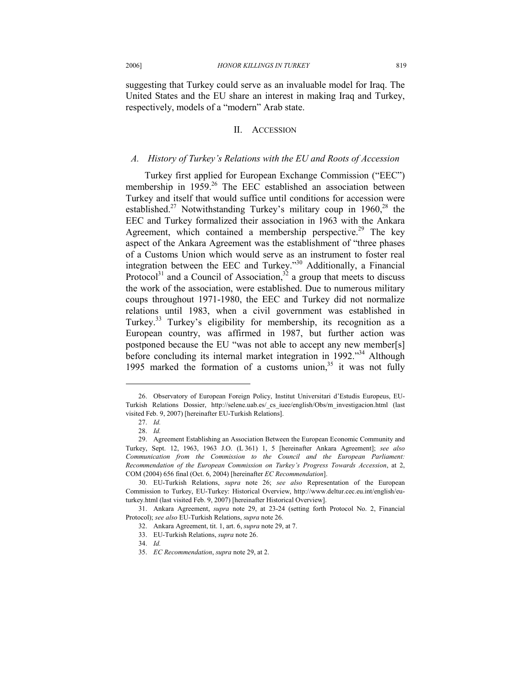suggesting that Turkey could serve as an invaluable model for Iraq. The United States and the EU share an interest in making Iraq and Turkey, respectively, models of a "modern" Arab state.

#### II. ACCESSION

#### *A. History of Turkey's Relations with the EU and Roots of Accession*

Turkey first applied for European Exchange Commission ("EEC") membership in 1959.<sup>26</sup> The EEC established an association between Turkey and itself that would suffice until conditions for accession were established.<sup>27</sup> Notwithstanding Turkey's military coup in  $1960$ ,<sup>28</sup> the EEC and Turkey formalized their association in 1963 with the Ankara Agreement, which contained a membership perspective.<sup>29</sup> The key aspect of the Ankara Agreement was the establishment of "three phases of a Customs Union which would serve as an instrument to foster real integration between the EEC and Turkey."<sup>30</sup> Additionally, a Financial Protocol<sup>31</sup> and a Council of Association,<sup>32</sup> a group that meets to discuss the work of the association, were established. Due to numerous military coups throughout 1971-1980, the EEC and Turkey did not normalize relations until 1983, when a civil government was established in Turkey.<sup>33</sup> Turkey's eligibility for membership, its recognition as a European country, was affirmed in 1987, but further action was postponed because the EU "was not able to accept any new member[s] before concluding its internal market integration in 1992."<sup>34</sup> Although 1995 marked the formation of a customs union, $35$  it was not fully

 <sup>26.</sup> Observatory of European Foreign Policy, Institut Universitari d'Estudis Europeus, EU-Turkish Relations Dossier, http://selene.uab.es/\_cs\_iuee/english/Obs/m\_investigacion.html (last visited Feb. 9, 2007) [hereinafter EU-Turkish Relations].

<sup>27.</sup> *Id.*

<sup>28.</sup> *Id.*

<sup>29.</sup> Agreement Establishing an Association Between the European Economic Community and Turkey, Sept. 12, 1963, 1963 J.O. (L 361) 1, 5 [hereinafter Ankara Agreement]; *see also Communication from the Commission to the Council and the European Parliament: Recommendation of the European Commission on Turkey's Progress Towards Accession*, at 2, COM (2004) 656 final (Oct. 6, 2004) [hereinafter *EC Recommendation*].

 <sup>30.</sup> EU-Turkish Relations, *supra* note 26; *see also* Representation of the European Commission to Turkey, EU-Turkey: Historical Overview, http://www.deltur.cec.eu.int/english/euturkey.html (last visited Feb. 9, 2007) [hereinafter Historical Overview].

 <sup>31.</sup> Ankara Agreement, *supra* note 29, at 23-24 (setting forth Protocol No. 2, Financial Protocol); *see also* EU-Turkish Relations, *supra* note 26.

<sup>32.</sup> Ankara Agreement, tit. 1, art. 6, *supra* note 29, at 7.

 <sup>33.</sup> EU-Turkish Relations, *supra* note 26.

<sup>34.</sup> *Id.*

<sup>35.</sup> *EC Recommendation*, *supra* note 29, at 2.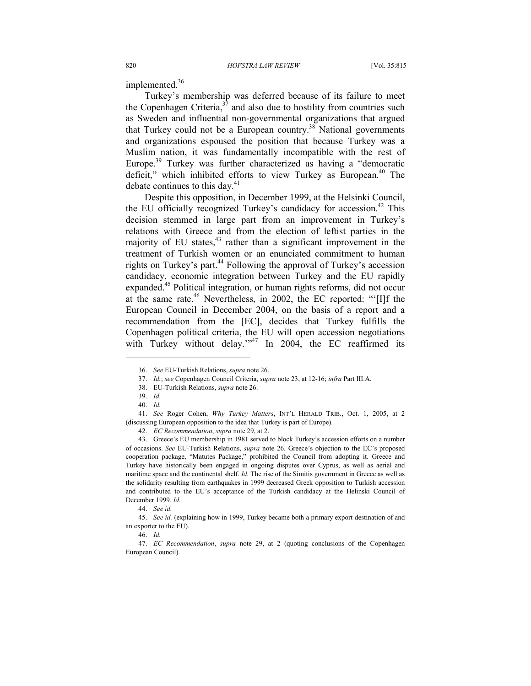implemented.<sup>36</sup>

Turkey's membership was deferred because of its failure to meet the Copenhagen Criteria,  $37$  and also due to hostility from countries such as Sweden and influential non-governmental organizations that argued that Turkey could not be a European country.<sup>38</sup> National governments and organizations espoused the position that because Turkey was a Muslim nation, it was fundamentally incompatible with the rest of Europe.<sup>39</sup> Turkey was further characterized as having a "democratic deficit," which inhibited efforts to view Turkey as European.<sup>40</sup> The debate continues to this day.<sup>41</sup>

Despite this opposition, in December 1999, at the Helsinki Council, the EU officially recognized Turkey's candidacy for accession.<sup>42</sup> This decision stemmed in large part from an improvement in Turkey's relations with Greece and from the election of leftist parties in the majority of EU states,<sup>43</sup> rather than a significant improvement in the treatment of Turkish women or an enunciated commitment to human rights on Turkey's part.<sup>44</sup> Following the approval of Turkey's accession candidacy, economic integration between Turkey and the EU rapidly expanded.<sup>45</sup> Political integration, or human rights reforms, did not occur at the same rate.<sup>46</sup> Nevertheless, in 2002, the EC reported: "'[I]f the European Council in December 2004, on the basis of a report and a recommendation from the [EC], decides that Turkey fulfills the Copenhagen political criteria, the EU will open accession negotiations with Turkey without delay."<sup>47</sup> In 2004, the EC reaffirmed its

 <sup>36.</sup> *See* EU-Turkish Relations, *supra* note 26.

<sup>37.</sup> *Id.*; *see* Copenhagen Council Criteria, *supra* note 23, at 12-16; *infra* Part III.A.

<sup>38.</sup> EU-Turkish Relations, *supra* note 26.

<sup>39.</sup> *Id.*

<sup>40.</sup> *Id.*

<sup>41.</sup> *See* Roger Cohen, *Why Turkey Matters*, INT'L HERALD TRIB., Oct. 1, 2005, at 2 (discussing European opposition to the idea that Turkey is part of Europe).

<sup>42.</sup> *EC Recommendation*, *supra* note 29, at 2.

 <sup>43.</sup> Greece's EU membership in 1981 served to block Turkey's accession efforts on a number of occasions. *See* EU-Turkish Relations, *supra* note 26. Greece's objection to the EC's proposed cooperation package, "Matutes Package," prohibited the Council from adopting it. Greece and Turkey have historically been engaged in ongoing disputes over Cyprus, as well as aerial and maritime space and the continental shelf. *Id.* The rise of the Simitis government in Greece as well as the solidarity resulting from earthquakes in 1999 decreased Greek opposition to Turkish accession and contributed to the EU's acceptance of the Turkish candidacy at the Helinski Council of December 1999. *Id.*

<sup>44.</sup> *See id.*

<sup>45.</sup> *See id.* (explaining how in 1999, Turkey became both a primary export destination of and an exporter to the EU).

<sup>46.</sup> *Id.*

<sup>47.</sup> *EC Recommendation*, *supra* note 29, at 2 (quoting conclusions of the Copenhagen European Council).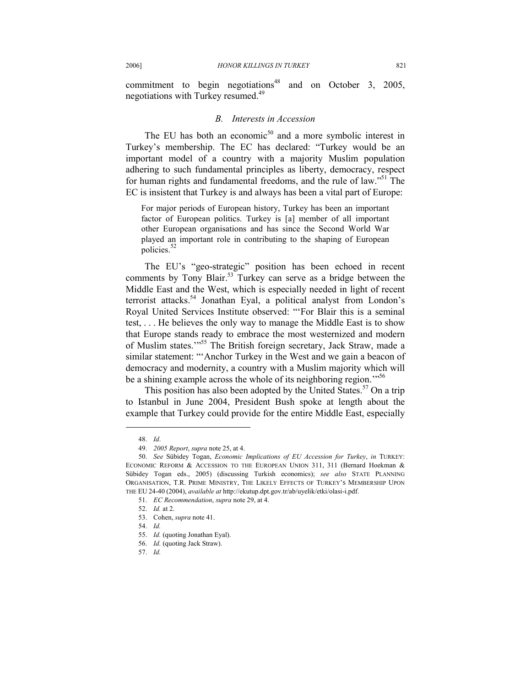commitment to begin negotiations<sup>48</sup> and on October 3, 2005, negotiations with Turkey resumed.<sup>49</sup>

## *B. Interests in Accession*

The EU has both an economic $50$  and a more symbolic interest in Turkey's membership. The EC has declared: "Turkey would be an important model of a country with a majority Muslim population adhering to such fundamental principles as liberty, democracy, respect for human rights and fundamental freedoms, and the rule of law."<sup>51</sup> The EC is insistent that Turkey is and always has been a vital part of Europe:

For major periods of European history, Turkey has been an important factor of European politics. Turkey is [a] member of all important other European organisations and has since the Second World War played an important role in contributing to the shaping of European policies.<sup>52</sup>

The EU's "geo-strategic" position has been echoed in recent comments by Tony Blair.<sup>53</sup> Turkey can serve as a bridge between the Middle East and the West, which is especially needed in light of recent terrorist attacks.<sup>54</sup> Jonathan Eyal, a political analyst from London's Royal United Services Institute observed: "'For Blair this is a seminal test, . . . He believes the only way to manage the Middle East is to show that Europe stands ready to embrace the most westernized and modern of Muslim states."<sup>55</sup> The British foreign secretary, Jack Straw, made a similar statement: "'Anchor Turkey in the West and we gain a beacon of democracy and modernity, a country with a Muslim majority which will be a shining example across the whole of its neighboring region.<sup>"56</sup>

This position has also been adopted by the United States.<sup>57</sup> On a trip to Istanbul in June 2004, President Bush spoke at length about the example that Turkey could provide for the entire Middle East, especially

<sup>48.</sup> *Id*.

<sup>49.</sup> *2005 Report*, *supra* note 25, at 4.

<sup>50.</sup> *See* Sübidey Togan, *Economic Implications of EU Accession for Turkey*, *in* TURKEY: ECONOMIC REFORM & ACCESSION TO THE EUROPEAN UNION 311, 311 (Bernard Hoekman & Sübidey Togan eds., 2005) (discussing Turkish economics); *see also* STATE PLANNING ORGANISATION, T.R. PRIME MINISTRY, THE LIKELY EFFECTS OF TURKEY'S MEMBERSHIP UPON THE EU 24-40 (2004), *available at* http://ekutup.dpt.gov.tr/ab/uyelik/etki/olasi-i.pdf.

<sup>51.</sup> *EC Recommendation*, *supra* note 29, at 4.

<sup>52.</sup> *Id.* at 2.

 <sup>53.</sup> Cohen, *supra* note 41.

<sup>54.</sup> *Id.*

<sup>55.</sup> *Id.* (quoting Jonathan Eyal).

<sup>56.</sup> *Id.* (quoting Jack Straw).

<sup>57.</sup> *Id.*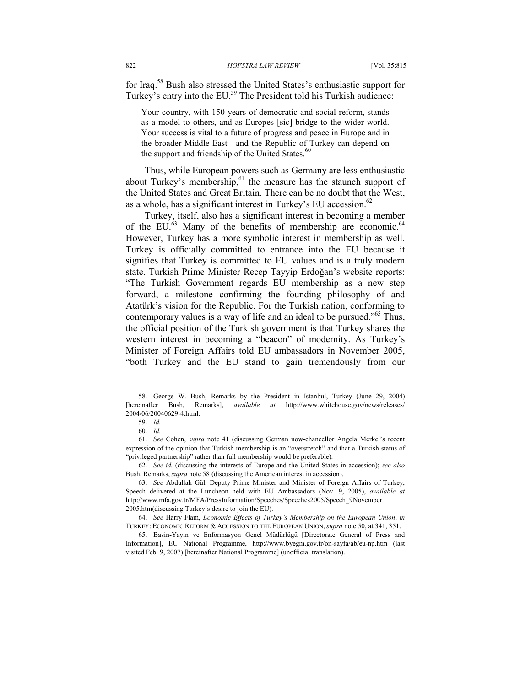for Iraq.<sup>58</sup> Bush also stressed the United States's enthusiastic support for Turkey's entry into the EU.<sup>59</sup> The President told his Turkish audience:

Your country, with 150 years of democratic and social reform, stands as a model to others, and as Europes [sic] bridge to the wider world. Your success is vital to a future of progress and peace in Europe and in the broader Middle East—and the Republic of Turkey can depend on the support and friendship of the United States. $60$ 

Thus, while European powers such as Germany are less enthusiastic about Turkey's membership, $61$  the measure has the staunch support of the United States and Great Britain. There can be no doubt that the West, as a whole, has a significant interest in Turkey's EU accession.<sup>62</sup>

Turkey, itself, also has a significant interest in becoming a member of the EU. $^{63}$  Many of the benefits of membership are economic.<sup>64</sup> However, Turkey has a more symbolic interest in membership as well. Turkey is officially committed to entrance into the EU because it signifies that Turkey is committed to EU values and is a truly modern state. Turkish Prime Minister Recep Tayyip Erdoğan's website reports: "The Turkish Government regards EU membership as a new step forward, a milestone confirming the founding philosophy of and Atatürk's vision for the Republic. For the Turkish nation, conforming to contemporary values is a way of life and an ideal to be pursued."<sup>65</sup> Thus, the official position of the Turkish government is that Turkey shares the western interest in becoming a "beacon" of modernity. As Turkey's Minister of Foreign Affairs told EU ambassadors in November 2005, "both Turkey and the EU stand to gain tremendously from our

 <sup>58.</sup> George W. Bush, Remarks by the President in Istanbul, Turkey (June 29, 2004) [hereinafter Bush, Remarks], *available at* http://www.whitehouse.gov/news/releases/ 2004/06/20040629-4.html.

<sup>59.</sup> *Id.*

<sup>60.</sup> *Id.*

<sup>61.</sup> *See* Cohen, *supra* note 41 (discussing German now-chancellor Angela Merkel's recent expression of the opinion that Turkish membership is an "overstretch" and that a Turkish status of "privileged partnership" rather than full membership would be preferable).

<sup>62.</sup> *See id.* (discussing the interests of Europe and the United States in accession); *see also*  Bush, Remarks, *supra* note 58 (discussing the American interest in accession).

<sup>63.</sup> *See* Abdullah Gül, Deputy Prime Minister and Minister of Foreign Affairs of Turkey, Speech delivered at the Luncheon held with EU Ambassadors (Nov. 9, 2005), *available at* http://www.mfa.gov.tr/MFA/PressInformation/Speeches/Speeches2005/Speech\_9November 2005.htm(discussing Turkey's desire to join the EU).

<sup>64.</sup> *See* Harry Flam, *Economic Effects of Turkey's Membership on the European Union*, *in*  TURKEY: ECONOMIC REFORM & ACCESSION TO THE EUROPEAN UNION, *supra* note 50, at 341, 351.

 <sup>65.</sup> Basin-Yayin ve Enformasyon Genel Müdürlügü [Directorate General of Press and Information], EU National Programme, http://www.byegm.gov.tr/on-sayfa/ab/eu-np.htm (last visited Feb. 9, 2007) [hereinafter National Programme] (unofficial translation).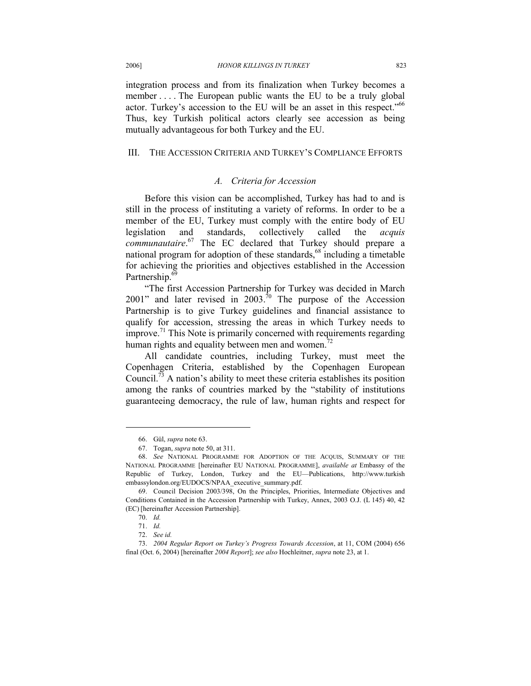integration process and from its finalization when Turkey becomes a member . . . . The European public wants the EU to be a truly global actor. Turkey's accession to the EU will be an asset in this respect."<sup>66</sup> Thus, key Turkish political actors clearly see accession as being mutually advantageous for both Turkey and the EU.

# III. THE ACCESSION CRITERIA AND TURKEY'S COMPLIANCE EFFORTS

# *A. Criteria for Accession*

Before this vision can be accomplished, Turkey has had to and is still in the process of instituting a variety of reforms. In order to be a member of the EU, Turkey must comply with the entire body of EU legislation and standards, collectively called the *acquis communautaire*. <sup>67</sup> The EC declared that Turkey should prepare a national program for adoption of these standards,<sup>68</sup> including a timetable for achieving the priorities and objectives established in the Accession Partnership.<sup>6</sup>

"The first Accession Partnership for Turkey was decided in March 2001" and later revised in 2003.<sup>70</sup> The purpose of the Accession Partnership is to give Turkey guidelines and financial assistance to qualify for accession, stressing the areas in which Turkey needs to improve.<sup>71</sup> This Note is primarily concerned with requirements regarding human rights and equality between men and women.<sup>72</sup>

All candidate countries, including Turkey, must meet the Copenhagen Criteria, established by the Copenhagen European Council.<sup>73</sup> A nation's ability to meet these criteria establishes its position among the ranks of countries marked by the "stability of institutions guaranteeing democracy, the rule of law, human rights and respect for

 <sup>66.</sup> Gül, *supra* note 63.

<sup>67.</sup> Togan, *supra* note 50, at 311.

<sup>68.</sup> *See* NATIONAL PROGRAMME FOR ADOPTION OF THE ACQUIS, SUMMARY OF THE NATIONAL PROGRAMME [hereinafter EU NATIONAL PROGRAMME], *available at* Embassy of the Republic of Turkey, London, Turkey and the EU—Publications, http://www.turkish embassylondon.org/EUDOCS/NPAA\_executive\_summary.pdf.

<sup>69.</sup> Council Decision 2003/398, On the Principles, Priorities, Intermediate Objectives and Conditions Contained in the Accession Partnership with Turkey, Annex, 2003 O.J. (L 145) 40, 42 (EC) [hereinafter Accession Partnership].

<sup>70.</sup> *Id.*

<sup>71.</sup> *Id.*

<sup>72.</sup> *See id.*

<sup>73.</sup> *2004 Regular Report on Turkey's Progress Towards Accession*, at 11, COM (2004) 656 final (Oct. 6, 2004) [hereinafter *2004 Report*]; *see also* Hochleitner, *supra* note 23, at 1.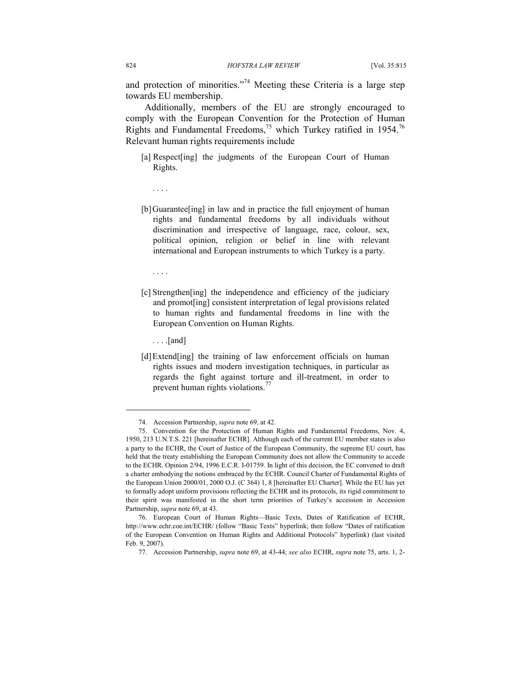and protection of minorities."<sup>74</sup> Meeting these Criteria is a large step towards EU membership.

Additionally, members of the EU are strongly encouraged to comply with the European Convention for the Protection of Human Rights and Fundamental Freedoms,<sup>75</sup> which Turkey ratified in 1954.<sup>76</sup> Relevant human rights requirements include

- [a] Respect[ing] the judgments of the European Court of Human Rights.
	- . . . .
- [b] Guarantee[ing] in law and in practice the full enjoyment of human rights and fundamental freedoms by all individuals without discrimination and irrespective of language, race, colour, sex, political opinion, religion or belief in line with relevant international and European instruments to which Turkey is a party.
	- . . . .
- [c] Strengthen[ing] the independence and efficiency of the judiciary and promot[ing] consistent interpretation of legal provisions related to human rights and fundamental freedoms in line with the European Convention on Human Rights.
	- . . . .[and]

j

[d] Extend [ing] the training of law enforcement officials on human rights issues and modern investigation techniques, in particular as regards the fight against torture and ill-treatment, in order to prevent human rights violations.<sup>77</sup>

<sup>74.</sup> Accession Partnership, *supra* note 69, at 42.

<sup>75.</sup> Convention for the Protection of Human Rights and Fundamental Freedoms, Nov. 4, 1950, 213 U.N.T.S. 221 [hereinafter ECHR]. Although each of the current EU member states is also a party to the ECHR, the Court of Justice of the European Community, the supreme EU court, has held that the treaty establishing the European Community does not allow the Community to accede to the ECHR. Opinion 2/94, 1996 E.C.R. I-01759. In light of this decision, the EC convened to draft a charter embodying the notions embraced by the ECHR. Council Charter of Fundamental Rights of the European Union 2000/01, 2000 O.J. (C 364) 1, 8 [hereinafter EU Charter]. While the EU has yet to formally adopt uniform provisions reflecting the ECHR and its protocols, its rigid commitment to their spirit was manifested in the short term priorities of Turkey's accession in Accession Partnership, *supra* note 69, at 43.

 <sup>76.</sup> European Court of Human Rights—Basic Texts, Dates of Ratification of ECHR, http://www.echr.coe.int/ECHR/ (follow "Basic Texts" hyperlink; then follow "Dates of ratification of the European Convention on Human Rights and Additional Protocols" hyperlink) (last visited Feb. 9, 2007).

<sup>77.</sup> Accession Partnership, *supra* note 69, at 43-44; *see also* ECHR, *supra* note 75, arts. 1, 2-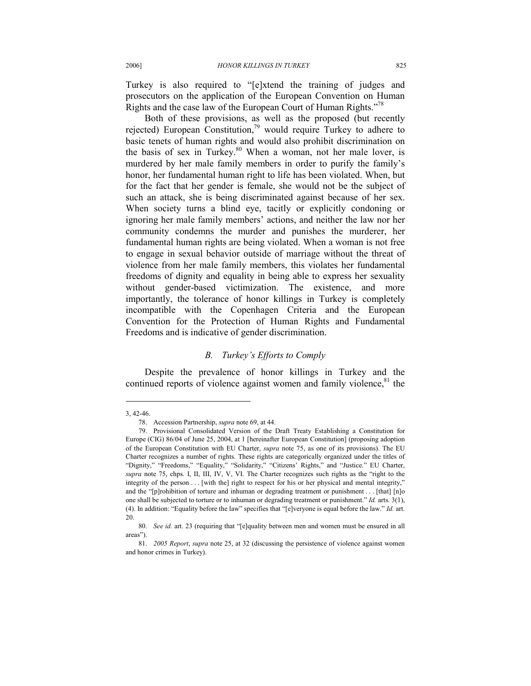Turkey is also required to "[e]xtend the training of judges and prosecutors on the application of the European Convention on Human Rights and the case law of the European Court of Human Rights."<sup>78</sup>

Both of these provisions, as well as the proposed (but recently rejected) European Constitution,<sup>79</sup> would require Turkey to adhere to basic tenets of human rights and would also prohibit discrimination on the basis of sex in Turkey.<sup>80</sup> When a woman, not her male lover, is murdered by her male family members in order to purify the family's honor, her fundamental human right to life has been violated. When, but for the fact that her gender is female, she would not be the subject of such an attack, she is being discriminated against because of her sex. When society turns a blind eye, tacitly or explicitly condoning or ignoring her male family members' actions, and neither the law nor her community condemns the murder and punishes the murderer, her fundamental human rights are being violated. When a woman is not free to engage in sexual behavior outside of marriage without the threat of violence from her male family members, this violates her fundamental freedoms of dignity and equality in being able to express her sexuality without gender-based victimization. The existence, and more importantly, the tolerance of honor killings in Turkey is completely incompatible with the Copenhagen Criteria and the European Convention for the Protection of Human Rights and Fundamental Freedoms and is indicative of gender discrimination.

# *B. Turkey's Efforts to Comply*

Despite the prevalence of honor killings in Turkey and the continued reports of violence against women and family violence, $81$  the

<sup>3, 42-46.</sup> 

<sup>78.</sup> Accession Partnership, *supra* note 69, at 44.

<sup>79.</sup> Provisional Consolidated Version of the Draft Treaty Establishing a Constitution for Europe (CIG) 86/04 of June 25, 2004, at 1 [hereinafter European Constitution] (proposing adoption of the European Constitution with EU Charter, *supra* note 75, as one of its provisions). The EU Charter recognizes a number of rights. These rights are categorically organized under the titles of "Dignity," "Freedoms," "Equality," "Solidarity," "Citizens' Rights," and "Justice." EU Charter, *supra* note 75, chps. I, II, III, IV, V, VI. The Charter recognizes such rights as the "right to the integrity of the person . . . [with the] right to respect for his or her physical and mental integrity," and the "[p]rohibition of torture and inhuman or degrading treatment or punishment . . . [that] [n]o one shall be subjected to torture or to inhuman or degrading treatment or punishment." *Id.* arts. 3(1), (4). In addition: "Equality before the law" specifies that "[e]veryone is equal before the law." *Id.* art. 20.

<sup>80.</sup> *See id.* art. 23 (requiring that "[e]quality between men and women must be ensured in all areas").

<sup>81.</sup> *2005 Report*, *supra* note 25, at 32 (discussing the persistence of violence against women and honor crimes in Turkey).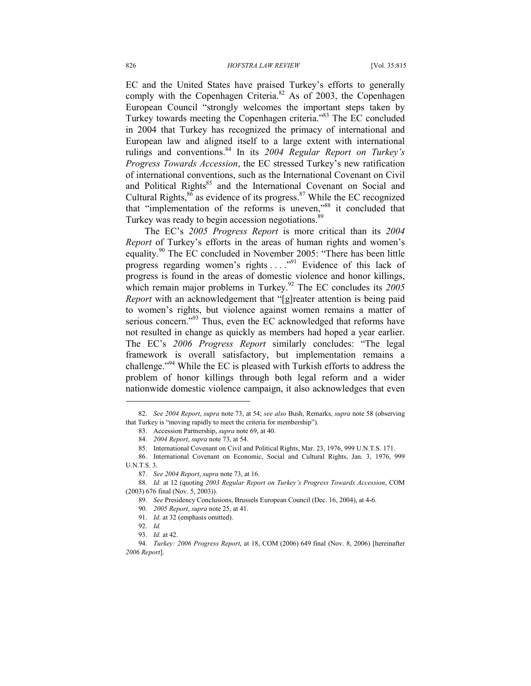EC and the United States have praised Turkey's efforts to generally comply with the Copenhagen Criteria.<sup>82</sup> As of 2003, the Copenhagen European Council "strongly welcomes the important steps taken by Turkey towards meeting the Copenhagen criteria."<sup>83</sup> The EC concluded in 2004 that Turkey has recognized the primacy of international and European law and aligned itself to a large extent with international rulings and conventions.<sup>84</sup> In its *2004 Regular Report on Turkey's Progress Towards Accession*, the EC stressed Turkey's new ratification of international conventions, such as the International Covenant on Civil and Political Rights<sup>85</sup> and the International Covenant on Social and Cultural Rights, $86$  as evidence of its progress. $87$  While the EC recognized that "implementation of the reforms is uneven,"<sup>88</sup> it concluded that Turkey was ready to begin accession negotiations.<sup>89</sup>

The EC's *2005 Progress Report* is more critical than its *2004 Report* of Turkey's efforts in the areas of human rights and women's equality.<sup>90</sup> The EC concluded in November 2005: "There has been little progress regarding women's rights . . . ."<sup>91</sup> Evidence of this lack of progress is found in the areas of domestic violence and honor killings, which remain major problems in Turkey.<sup>92</sup> The EC concludes its 2005 *Report* with an acknowledgement that "[g]reater attention is being paid to women's rights, but violence against women remains a matter of serious concern."<sup>93</sup> Thus, even the EC acknowledged that reforms have not resulted in change as quickly as members had hoped a year earlier. The EC's *2006 Progress Report* similarly concludes: "The legal framework is overall satisfactory, but implementation remains a challenge."<sup>94</sup> While the EC is pleased with Turkish efforts to address the problem of honor killings through both legal reform and a wider nationwide domestic violence campaign, it also acknowledges that even

<sup>82.</sup> *See 2004 Report*, *supra* note 73, at 54; *see also* Bush, Remarks, *supra* note 58 (observing that Turkey is "moving rapidly to meet the criteria for membership").

<sup>83.</sup> Accession Partnership, *supra* note 69, at 40.

<sup>84.</sup> *2004 Report*, *supra* note 73, at 54.

<sup>85.</sup> International Covenant on Civil and Political Rights, Mar. 23, 1976, 999 U.N.T.S. 171.

<sup>86.</sup> International Covenant on Economic, Social and Cultural Rights, Jan. 3, 1976, 999 U.N.T.S. 3.

<sup>87.</sup> *See 2004 Report*, *supra* note 73, at 16.

<sup>88.</sup> *Id.* at 12 (quoting *2003 Regular Report on Turkey's Progress Towards Accession*, COM (2003) 676 final (Nov. 5, 2003)).

<sup>89.</sup> *See* Presidency Conclusions, Brussels European Council (Dec. 16, 2004), at 4-6.

<sup>90.</sup> *2005 Report*, *supra* note 25, at 41.

<sup>91.</sup> *Id.* at 32 (emphasis omitted).

<sup>92.</sup> *Id.*

<sup>93.</sup> *Id.* at 42.

<sup>94.</sup> *Turkey: 2006 Progress Report*, at 18, COM (2006) 649 final (Nov. 8, 2006) [hereinafter *2006 Report*].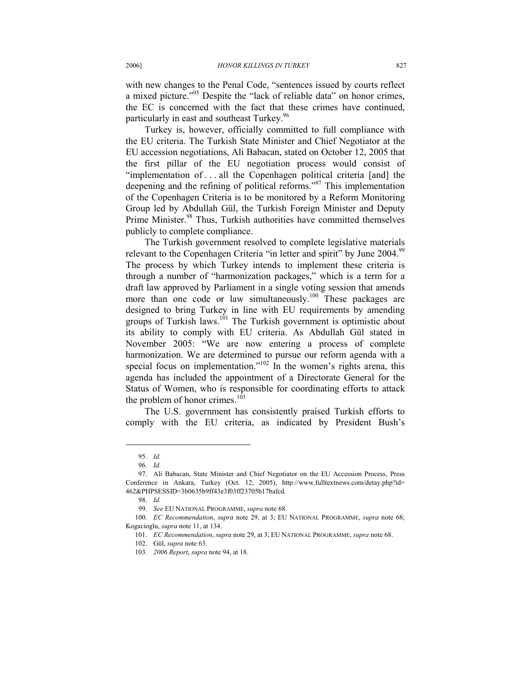with new changes to the Penal Code, "sentences issued by courts reflect a mixed picture."<sup>95</sup> Despite the "lack of reliable data" on honor crimes, the EC is concerned with the fact that these crimes have continued, particularly in east and southeast Turkey.<sup>96</sup>

Turkey is, however, officially committed to full compliance with the EU criteria. The Turkish State Minister and Chief Negotiator at the EU accession negotiations, Ali Babacan, stated on October 12, 2005 that the first pillar of the EU negotiation process would consist of "implementation of . . . all the Copenhagen political criteria [and] the deepening and the refining of political reforms."<sup>97</sup> This implementation of the Copenhagen Criteria is to be monitored by a Reform Monitoring Group led by Abdullah Gül, the Turkish Foreign Minister and Deputy Prime Minister.<sup>98</sup> Thus, Turkish authorities have committed themselves publicly to complete compliance.

The Turkish government resolved to complete legislative materials relevant to the Copenhagen Criteria "in letter and spirit" by June 2004.<sup>99</sup> The process by which Turkey intends to implement these criteria is through a number of "harmonization packages," which is a term for a draft law approved by Parliament in a single voting session that amends more than one code or law simultaneously.<sup>100</sup> These packages are designed to bring Turkey in line with EU requirements by amending groups of Turkish laws.<sup>101</sup> The Turkish government is optimistic about its ability to comply with EU criteria. As Abdullah Gül stated in November 2005: "We are now entering a process of complete harmonization. We are determined to pursue our reform agenda with a special focus on implementation."<sup>102</sup> In the women's rights arena, this agenda has included the appointment of a Directorate General for the Status of Women, who is responsible for coordinating efforts to attack the problem of honor crimes. $103$ 

The U.S. government has consistently praised Turkish efforts to comply with the EU criteria, as indicated by President Bush's

<sup>95.</sup> *Id.*

<sup>96.</sup> *Id.*

 <sup>97.</sup> Ali Babacan, State Minister and Chief Negotiator on the EU Accession Process, Press Conference in Ankara, Turkey (Oct. 12, 2005), http://www.fulltextnews.com/detay.php?id= 462&PHPSESSID=3b0635b9ff43e3f03ff23705b17bafcd.

<sup>98.</sup> *Id.*

<sup>99.</sup> *See* EU NATIONAL PROGRAMME, *supra* note 68.

 <sup>100.</sup> *EC Recommendation*, *supra* note 29, at 3; EU NATIONAL PROGRAMME, *supra* note 68; Kogacioglu, *supra* note 11, at 134.

<sup>101.</sup> *EC Recommendation*, *supra* note 29, at 3; EU NATIONAL PROGRAMME, *supra* note 68.

 <sup>102.</sup> Gül, *supra* note 63.

<sup>103.</sup> *2006 Report*, *supra* note 94, at 18.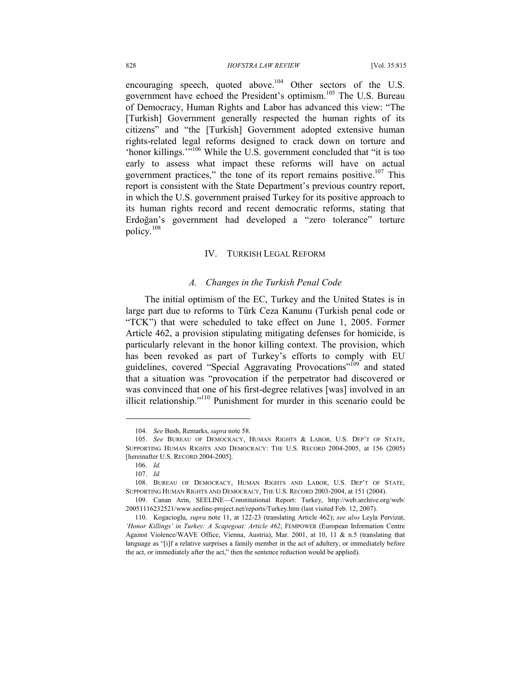encouraging speech, quoted above.<sup>104</sup> Other sectors of the U.S. government have echoed the President's optimism.<sup>105</sup> The U.S. Bureau of Democracy, Human Rights and Labor has advanced this view: "The [Turkish] Government generally respected the human rights of its citizens" and "the [Turkish] Government adopted extensive human rights-related legal reforms designed to crack down on torture and 'honor killings.'"<sup>106</sup> While the U.S. government concluded that "it is too early to assess what impact these reforms will have on actual government practices," the tone of its report remains positive.<sup>107</sup> This report is consistent with the State Department's previous country report, in which the U.S. government praised Turkey for its positive approach to its human rights record and recent democratic reforms, stating that Erdoğan's government had developed a "zero tolerance" torture policy.<sup>108</sup>

#### IV. TURKISH LEGAL REFORM

### *A. Changes in the Turkish Penal Code*

The initial optimism of the EC, Turkey and the United States is in large part due to reforms to Türk Ceza Kanunu (Turkish penal code or "TCK") that were scheduled to take effect on June 1, 2005. Former Article 462, a provision stipulating mitigating defenses for homicide, is particularly relevant in the honor killing context. The provision, which has been revoked as part of Turkey's efforts to comply with EU guidelines, covered "Special Aggravating Provocations"<sup>109</sup> and stated that a situation was "provocation if the perpetrator had discovered or was convinced that one of his first-degree relatives [was] involved in an illicit relationship."<sup>110</sup> Punishment for murder in this scenario could be

<sup>104.</sup> *See* Bush, Remarks, *supra* note 58.

<sup>105.</sup> *See* BUREAU OF DEMOCRACY, HUMAN RIGHTS & LABOR, U.S. DEP'T OF STATE, SUPPORTING HUMAN RIGHTS AND DEMOCRACY: THE U.S. RECORD 2004-2005, at 156 (2005) [hereinafter U.S. RECORD 2004-2005].

<sup>106.</sup> *Id.*

<sup>107.</sup> *Id.*

 <sup>108.</sup> BUREAU OF DEMOCRACY, HUMAN RIGHTS AND LABOR, U.S. DEP'T OF STATE, SUPPORTING HUMAN RIGHTS AND DEMOCRACY, THE U.S. RECORD 2003-2004, at 151 (2004).

 <sup>109.</sup> Canan Arin, SEELINE—Constitutional Report: Turkey, http://web.archive.org/web/ 20051116232521/www.seeline-project.net/reports/Turkey.htm (last visited Feb. 12, 2007).

<sup>110.</sup> Kogacioglu, *supra* note 11, at 122-23 (translating Article 462); *see also* Leyla Pervizat, *'Honor Killings' in Turkey: A Scapegoat: Article 462*, FEMPOWER (European Information Centre Against Violence/WAVE Office, Vienna, Austria), Mar. 2001, at 10, 11 & n.5 (translating that language as "[i]f a relative surprises a family member in the act of adultery, or immediately before the act, or immediately after the act," then the sentence reduction would be applied).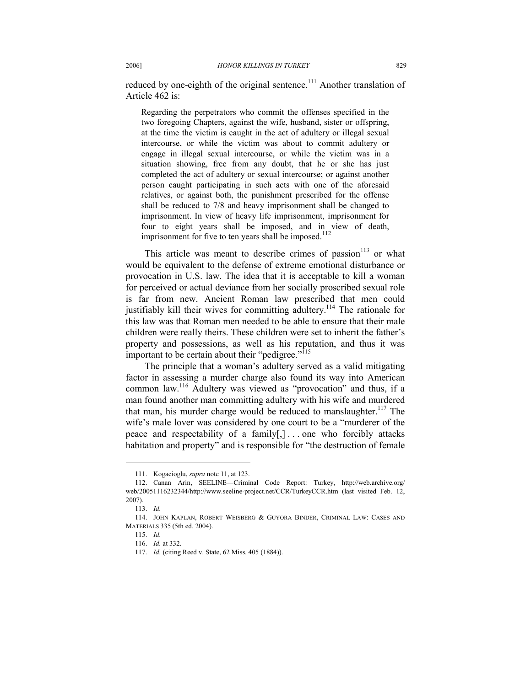reduced by one-eighth of the original sentence.<sup>111</sup> Another translation of Article 462 is:

Regarding the perpetrators who commit the offenses specified in the two foregoing Chapters, against the wife, husband, sister or offspring, at the time the victim is caught in the act of adultery or illegal sexual intercourse, or while the victim was about to commit adultery or engage in illegal sexual intercourse, or while the victim was in a situation showing, free from any doubt, that he or she has just completed the act of adultery or sexual intercourse; or against another person caught participating in such acts with one of the aforesaid relatives, or against both, the punishment prescribed for the offense shall be reduced to 7/8 and heavy imprisonment shall be changed to imprisonment. In view of heavy life imprisonment, imprisonment for four to eight years shall be imposed, and in view of death, imprisonment for five to ten years shall be imposed.<sup>112</sup>

This article was meant to describe crimes of passion<sup>113</sup> or what would be equivalent to the defense of extreme emotional disturbance or provocation in U.S. law. The idea that it is acceptable to kill a woman for perceived or actual deviance from her socially proscribed sexual role is far from new. Ancient Roman law prescribed that men could justifiably kill their wives for committing adultery.<sup>114</sup> The rationale for this law was that Roman men needed to be able to ensure that their male children were really theirs. These children were set to inherit the father's property and possessions, as well as his reputation, and thus it was important to be certain about their "pedigree."<sup>115</sup>

The principle that a woman's adultery served as a valid mitigating factor in assessing a murder charge also found its way into American common law.<sup>116</sup> Adultery was viewed as "provocation" and thus, if a man found another man committing adultery with his wife and murdered that man, his murder charge would be reduced to manslaughter.<sup>117</sup> The wife's male lover was considered by one court to be a "murderer of the peace and respectability of a family[,] . . . one who forcibly attacks habitation and property" and is responsible for "the destruction of female

 <sup>111.</sup> Kogacioglu, *supra* note 11, at 123.

 <sup>112.</sup> Canan Arin, SEELINE—Criminal Code Report: Turkey, http://web.archive.org/ web/20051116232344/http://www.seeline-project.net/CCR/TurkeyCCR.htm (last visited Feb. 12, 2007).

<sup>113.</sup> *Id.*

 <sup>114.</sup> JOHN KAPLAN, ROBERT WEISBERG & GUYORA BINDER, CRIMINAL LAW: CASES AND MATERIALS 335 (5th ed. 2004).

<sup>115.</sup> *Id.*

<sup>116.</sup> *Id.* at 332.

<sup>117.</sup> *Id.* (citing Reed v. State, 62 Miss. 405 (1884)).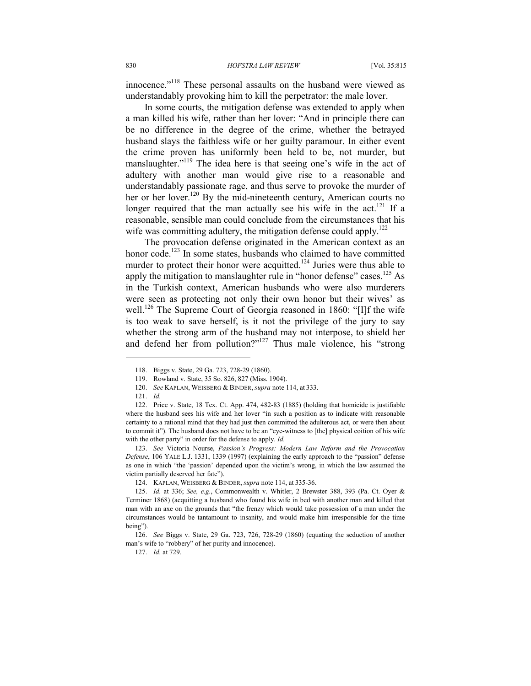innocence."<sup>118</sup> These personal assaults on the husband were viewed as understandably provoking him to kill the perpetrator: the male lover.

In some courts, the mitigation defense was extended to apply when a man killed his wife, rather than her lover: "And in principle there can be no difference in the degree of the crime, whether the betrayed husband slays the faithless wife or her guilty paramour. In either event the crime proven has uniformly been held to be, not murder, but manslaughter."<sup>119</sup> The idea here is that seeing one's wife in the act of adultery with another man would give rise to a reasonable and understandably passionate rage, and thus serve to provoke the murder of her or her lover.<sup>120</sup> By the mid-nineteenth century, American courts no longer required that the man actually see his wife in the  $act.^{121}$  If a reasonable, sensible man could conclude from the circumstances that his wife was committing adultery, the mitigation defense could apply. $122$ 

The provocation defense originated in the American context as an honor code.<sup>123</sup> In some states, husbands who claimed to have committed murder to protect their honor were acquitted.<sup>124</sup> Juries were thus able to apply the mitigation to manslaughter rule in "honor defense" cases.<sup>125</sup> As in the Turkish context, American husbands who were also murderers were seen as protecting not only their own honor but their wives' as well.<sup>126</sup> The Supreme Court of Georgia reasoned in 1860: "[I]f the wife is too weak to save herself, is it not the privilege of the jury to say whether the strong arm of the husband may not interpose, to shield her and defend her from pollution?"<sup>127</sup> Thus male violence, his "strong

j

 123. *See* Victoria Nourse, *Passion's Progress: Modern Law Reform and the Provocation Defense*, 106 YALE L.J. 1331, 1339 (1997) (explaining the early approach to the "passion" defense as one in which "the 'passion' depended upon the victim's wrong, in which the law assumed the victim partially deserved her fate").

 <sup>118.</sup> Biggs v. State, 29 Ga. 723, 728-29 (1860).

 <sup>119.</sup> Rowland v. State, 35 So. 826, 827 (Miss. 1904).

 <sup>120.</sup> *See* KAPLAN, WEISBERG & BINDER, *supra* note 114, at 333.

<sup>121.</sup> *Id.*

<sup>122.</sup> Price v. State, 18 Tex. Ct. App. 474, 482-83 (1885) (holding that homicide is justifiable where the husband sees his wife and her lover "in such a position as to indicate with reasonable certainty to a rational mind that they had just then committed the adulterous act, or were then about to commit it"). The husband does not have to be an "eye-witness to [the] physical coition of his wife with the other party" in order for the defense to apply. *Id.*

 <sup>124.</sup> KAPLAN, WEISBERG & BINDER, *supra* note 114, at 335-36.

<sup>125.</sup> *Id.* at 336; *See, e.g.*, Commonwealth v. Whitler, 2 Brewster 388, 393 (Pa. Ct. Oyer & Terminer 1868) (acquitting a husband who found his wife in bed with another man and killed that man with an axe on the grounds that "the frenzy which would take possession of a man under the circumstances would be tantamount to insanity, and would make him irresponsible for the time being").

 <sup>126.</sup> *See* Biggs v. State, 29 Ga. 723, 726, 728-29 (1860) (equating the seduction of another man's wife to "robbery" of her purity and innocence).

<sup>127.</sup> *Id.* at 729.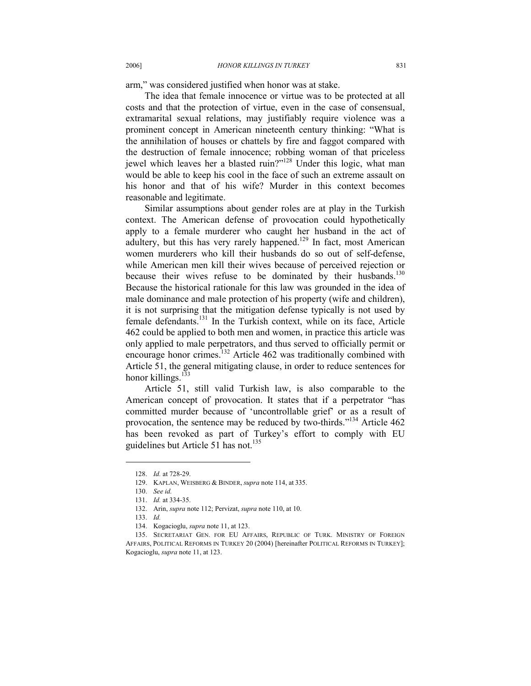arm," was considered justified when honor was at stake.

The idea that female innocence or virtue was to be protected at all costs and that the protection of virtue, even in the case of consensual, extramarital sexual relations, may justifiably require violence was a prominent concept in American nineteenth century thinking: "What is the annihilation of houses or chattels by fire and faggot compared with the destruction of female innocence; robbing woman of that priceless jewel which leaves her a blasted ruin?"<sup>128</sup> Under this logic, what man would be able to keep his cool in the face of such an extreme assault on his honor and that of his wife? Murder in this context becomes reasonable and legitimate.

Similar assumptions about gender roles are at play in the Turkish context. The American defense of provocation could hypothetically apply to a female murderer who caught her husband in the act of adultery, but this has very rarely happened.<sup>129</sup> In fact, most American women murderers who kill their husbands do so out of self-defense, while American men kill their wives because of perceived rejection or because their wives refuse to be dominated by their husbands.<sup>130</sup> Because the historical rationale for this law was grounded in the idea of male dominance and male protection of his property (wife and children), it is not surprising that the mitigation defense typically is not used by female defendants.<sup>131</sup> In the Turkish context, while on its face, Article 462 could be applied to both men and women, in practice this article was only applied to male perpetrators, and thus served to officially permit or encourage honor crimes.<sup>132</sup> Article 462 was traditionally combined with Article 51, the general mitigating clause, in order to reduce sentences for honor killings. $133$ 

Article 51, still valid Turkish law, is also comparable to the American concept of provocation. It states that if a perpetrator "has committed murder because of 'uncontrollable grief' or as a result of provocation, the sentence may be reduced by two-thirds."<sup>134</sup> Article 462 has been revoked as part of Turkey's effort to comply with EU guidelines but Article 51 has not. $135$ 

<sup>128.</sup> *Id.* at 728-29.

 <sup>129.</sup> KAPLAN, WEISBERG & BINDER, *supra* note 114, at 335.

<sup>130.</sup> *See id.*

<sup>131.</sup> *Id.* at 334-35.

 <sup>132.</sup> Arin, *supra* note 112; Pervizat, *supra* note 110, at 10.

<sup>133.</sup> *Id.*

 <sup>134.</sup> Kogacioglu, *supra* note 11, at 123.

 <sup>135.</sup> SECRETARIAT GEN. FOR EU AFFAIRS, REPUBLIC OF TURK. MINISTRY OF FOREIGN AFFAIRS, POLITICAL REFORMS IN TURKEY 20 (2004) [hereinafter POLITICAL REFORMS IN TURKEY]; Kogacioglu, *supra* note 11, at 123.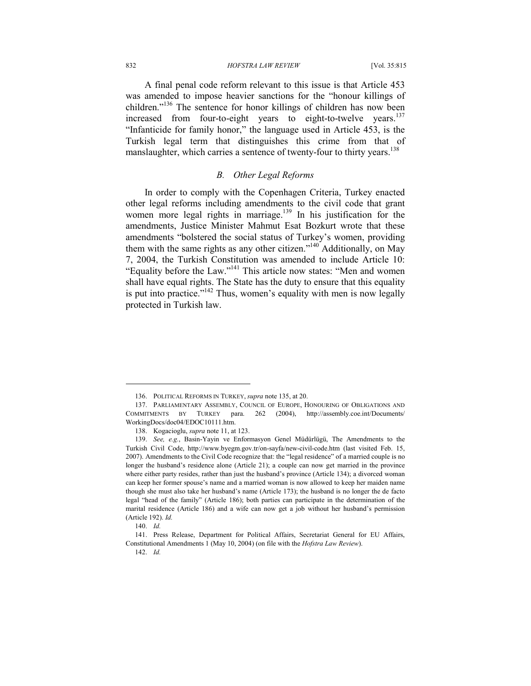#### 832 *HOFSTRA LAW REVIEW* [Vol. 35:815

A final penal code reform relevant to this issue is that Article 453 was amended to impose heavier sanctions for the "honour killings of children."<sup>136</sup> The sentence for honor killings of children has now been increased from four-to-eight years to eight-to-twelve years.<sup>137</sup> "Infanticide for family honor," the language used in Article 453, is the Turkish legal term that distinguishes this crime from that of manslaughter, which carries a sentence of twenty-four to thirty years.<sup>138</sup>

# *B. Other Legal Reforms*

In order to comply with the Copenhagen Criteria, Turkey enacted other legal reforms including amendments to the civil code that grant women more legal rights in marriage.<sup>139</sup> In his justification for the amendments, Justice Minister Mahmut Esat Bozkurt wrote that these amendments "bolstered the social status of Turkey's women, providing them with the same rights as any other citizen."<sup>140</sup> Additionally, on May 7, 2004, the Turkish Constitution was amended to include Article 10: "Equality before the Law."<sup>141</sup> This article now states: "Men and women shall have equal rights. The State has the duty to ensure that this equality is put into practice."<sup>142</sup> Thus, women's equality with men is now legally protected in Turkish law.

 <sup>136.</sup> POLITICAL REFORMS IN TURKEY, *supra* note 135, at 20.

 <sup>137.</sup> PARLIAMENTARY ASSEMBLY, COUNCIL OF EUROPE, HONOURING OF OBLIGATIONS AND COMMITMENTS BY TURKEY para. 262 (2004), http://assembly.coe.int/Documents/ WorkingDocs/doc04/EDOC10111.htm.

 <sup>138.</sup> Kogacioglu, *supra* note 11, at 123.

<sup>139.</sup> *See, e.g.*, Basin-Yayin ve Enformasyon Genel Müdürlügü, The Amendments to the Turkish Civil Code, http://www.byegm.gov.tr/on-sayfa/new-civil-code.htm (last visited Feb. 15, 2007). Amendments to the Civil Code recognize that: the "legal residence" of a married couple is no longer the husband's residence alone (Article 21); a couple can now get married in the province where either party resides, rather than just the husband's province (Article 134); a divorced woman can keep her former spouse's name and a married woman is now allowed to keep her maiden name though she must also take her husband's name (Article 173); the husband is no longer the de facto legal "head of the family" (Article 186); both parties can participate in the determination of the marital residence (Article 186) and a wife can now get a job without her husband's permission (Article 192). *Id.*

 <sup>140.</sup> *Id.*

 <sup>141.</sup> Press Release, Department for Political Affairs, Secretariat General for EU Affairs, Constitutional Amendments 1 (May 10, 2004) (on file with the *Hofstra Law Review*).

<sup>142.</sup> *Id.*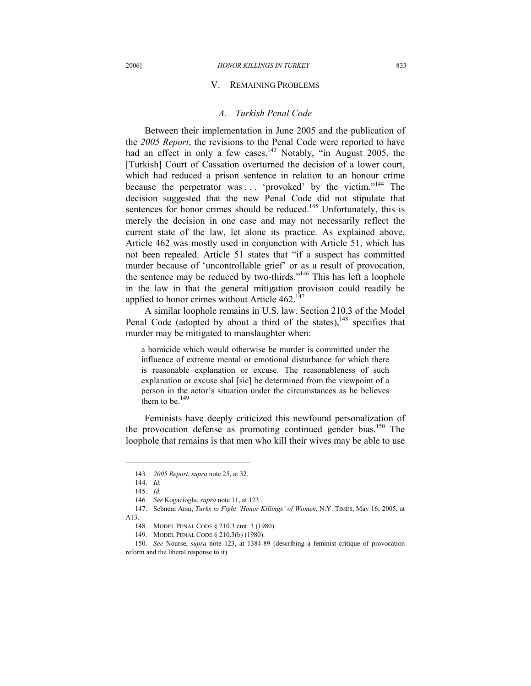#### V. REMAINING PROBLEMS

#### *A. Turkish Penal Code*

Between their implementation in June 2005 and the publication of the *2005 Report*, the revisions to the Penal Code were reported to have had an effect in only a few cases.<sup>143</sup> Notably, "in August 2005, the [Turkish] Court of Cassation overturned the decision of a lower court, which had reduced a prison sentence in relation to an honour crime because the perpetrator was ... 'provoked' by the victim."<sup>144</sup> The decision suggested that the new Penal Code did not stipulate that sentences for honor crimes should be reduced.<sup>145</sup> Unfortunately, this is merely the decision in one case and may not necessarily reflect the current state of the law, let alone its practice. As explained above, Article 462 was mostly used in conjunction with Article 51, which has not been repealed. Article 51 states that "if a suspect has committed murder because of 'uncontrollable grief' or as a result of provocation, the sentence may be reduced by two-thirds."<sup>146</sup> This has left a loophole in the law in that the general mitigation provision could readily be applied to honor crimes without Article 462.<sup>147</sup>

A similar loophole remains in U.S. law. Section 210.3 of the Model Penal Code (adopted by about a third of the states),<sup>148</sup> specifies that murder may be mitigated to manslaughter when:

a homicide which would otherwise be murder is committed under the influence of extreme mental or emotional disturbance for which there is reasonable explanation or excuse. The reasonableness of such explanation or excuse shal [sic] be determined from the viewpoint of a person in the actor's situation under the circumstances as he believes them to be. $149$ 

Feminists have deeply criticized this newfound personalization of the provocation defense as promoting continued gender bias.<sup>150</sup> The loophole that remains is that men who kill their wives may be able to use

<sup>143.</sup> *2005 Report*, *supra* note 25, at 32.

<sup>144.</sup> *Id.*

<sup>145.</sup> *Id.*

<sup>146.</sup> *See* Kogacioglu, *supra* note 11, at 123.

 <sup>147.</sup> Sebnem Arsu, *Turks to Fight 'Honor Killings' of Women*, N.Y. TIMES, May 16, 2005, at A13.

<sup>148.</sup> MODEL PENAL CODE § 210.3 cmt. 3 (1980).

 <sup>149.</sup> MODEL PENAL CODE § 210.3(b) (1980).

<sup>150.</sup> *See* Nourse, *supra* note 123, at 1384-89 (describing a feminist critique of provocation reform and the liberal response to it).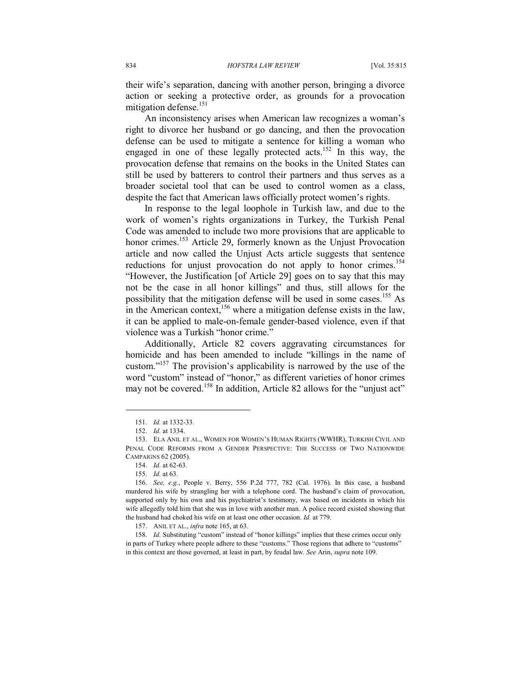their wife's separation, dancing with another person, bringing a divorce action or seeking a protective order, as grounds for a provocation mitigation defense. $151$ 

An inconsistency arises when American law recognizes a woman's right to divorce her husband or go dancing, and then the provocation defense can be used to mitigate a sentence for killing a woman who engaged in one of these legally protected acts.<sup>152</sup> In this way, the provocation defense that remains on the books in the United States can still be used by batterers to control their partners and thus serves as a broader societal tool that can be used to control women as a class, despite the fact that American laws officially protect women's rights.

In response to the legal loophole in Turkish law, and due to the work of women's rights organizations in Turkey, the Turkish Penal Code was amended to include two more provisions that are applicable to honor crimes.<sup>153</sup> Article 29, formerly known as the Unjust Provocation article and now called the Unjust Acts article suggests that sentence reductions for unjust provocation do not apply to honor crimes.<sup>154</sup> "However, the Justification [of Article 29] goes on to say that this may not be the case in all honor killings" and thus, still allows for the possibility that the mitigation defense will be used in some cases.<sup>155</sup> As in the American context,<sup>156</sup> where a mitigation defense exists in the law, it can be applied to male-on-female gender-based violence, even if that violence was a Turkish "honor crime."

Additionally, Article 82 covers aggravating circumstances for homicide and has been amended to include "killings in the name of custom."<sup>157</sup> The provision's applicability is narrowed by the use of the word "custom" instead of "honor," as different varieties of honor crimes may not be covered.<sup>158</sup> In addition, Article 82 allows for the "unjust act"

<sup>151.</sup> *Id.* at 1332-33.

<sup>152.</sup> *Id.* at 1334.

 <sup>153.</sup> ELA ANIL ET AL., WOMEN FOR WOMEN'S HUMAN RIGHTS (WWHR), TURKISH CIVIL AND PENAL CODE REFORMS FROM A GENDER PERSPECTIVE: THE SUCCESS OF TWO NATIONWIDE CAMPAIGNS 62 (2005).

<sup>154.</sup> *Id.* at 62-63.

<sup>155.</sup> *Id.* at 63.

<sup>156.</sup> *See, e.g.*, People v. Berry, 556 P.2d 777, 782 (Cal. 1976). In this case, a husband murdered his wife by strangling her with a telephone cord. The husband's claim of provocation, supported only by his own and his psychiatrist's testimony, was based on incidents in which his wife allegedly told him that she was in love with another man. A police record existed showing that the husband had choked his wife on at least one other occasion. *Id.* at 779.

<sup>157.</sup> ANIL ET AL., *infra* note 165, at 63.

<sup>158.</sup> *Id.* Substituting "custom" instead of "honor killings" implies that these crimes occur only in parts of Turkey where people adhere to these "customs." Those regions that adhere to "customs" in this context are those governed, at least in part, by feudal law. *See* Arin, *supra* note 109.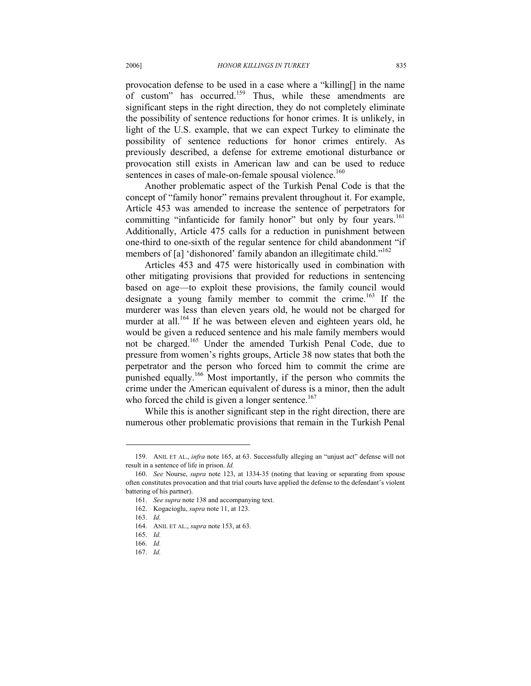provocation defense to be used in a case where a "killing[] in the name of custom" has occurred.<sup>159</sup> Thus, while these amendments are significant steps in the right direction, they do not completely eliminate the possibility of sentence reductions for honor crimes. It is unlikely, in light of the U.S. example, that we can expect Turkey to eliminate the possibility of sentence reductions for honor crimes entirely. As previously described, a defense for extreme emotional disturbance or provocation still exists in American law and can be used to reduce sentences in cases of male-on-female spousal violence.<sup>160</sup>

Another problematic aspect of the Turkish Penal Code is that the concept of "family honor" remains prevalent throughout it. For example, Article 453 was amended to increase the sentence of perpetrators for committing "infanticide for family honor" but only by four years.<sup>161</sup> Additionally, Article 475 calls for a reduction in punishment between one-third to one-sixth of the regular sentence for child abandonment "if members of [a] 'dishonored' family abandon an illegitimate child."<sup>162</sup>

Articles 453 and 475 were historically used in combination with other mitigating provisions that provided for reductions in sentencing based on age—to exploit these provisions, the family council would designate a young family member to commit the crime. <sup>163</sup> If the murderer was less than eleven years old, he would not be charged for murder at all.<sup>164</sup> If he was between eleven and eighteen years old, he would be given a reduced sentence and his male family members would not be charged.<sup>165</sup> Under the amended Turkish Penal Code, due to pressure from women's rights groups, Article 38 now states that both the perpetrator and the person who forced him to commit the crime are punished equally.<sup>166</sup> Most importantly, if the person who commits the crime under the American equivalent of duress is a minor, then the adult who forced the child is given a longer sentence.<sup>167</sup>

While this is another significant step in the right direction, there are numerous other problematic provisions that remain in the Turkish Penal

<sup>159.</sup> ANIL ET AL., *infra* note 165, at 63. Successfully alleging an "unjust act" defense will not result in a sentence of life in prison. *Id.* 

<sup>160.</sup> *See* Nourse, *supra* note 123, at 1334-35 (noting that leaving or separating from spouse often constitutes provocation and that trial courts have applied the defense to the defendant's violent battering of his partner).

 <sup>161.</sup> *See supra* note 138 and accompanying text.

<sup>162.</sup> Kogacioglu, *supra* note 11, at 123.

<sup>163.</sup> *Id.*

<sup>164.</sup> ANIL ET AL., *supra* note 153, at 63.

<sup>165.</sup> *Id.*

<sup>166.</sup> *Id.*

<sup>167.</sup> *Id.*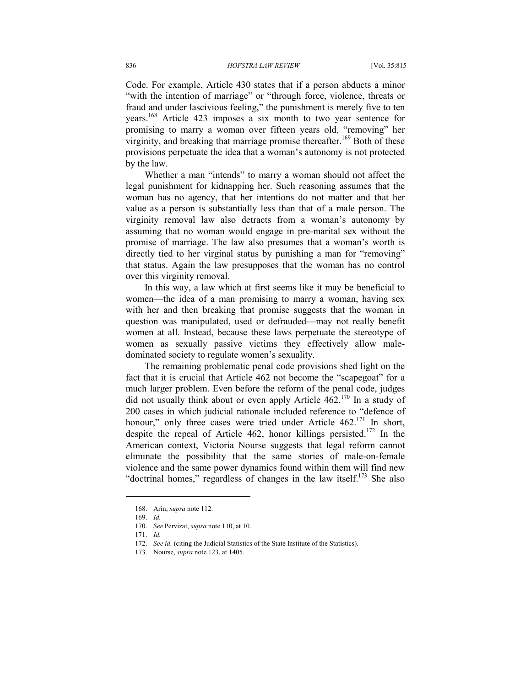Code. For example, Article 430 states that if a person abducts a minor "with the intention of marriage" or "through force, violence, threats or fraud and under lascivious feeling," the punishment is merely five to ten years.<sup>168</sup> Article 423 imposes a six month to two year sentence for promising to marry a woman over fifteen years old, "removing" her virginity, and breaking that marriage promise thereafter.<sup>169</sup> Both of these provisions perpetuate the idea that a woman's autonomy is not protected by the law.

Whether a man "intends" to marry a woman should not affect the legal punishment for kidnapping her. Such reasoning assumes that the woman has no agency, that her intentions do not matter and that her value as a person is substantially less than that of a male person. The virginity removal law also detracts from a woman's autonomy by assuming that no woman would engage in pre-marital sex without the promise of marriage. The law also presumes that a woman's worth is directly tied to her virginal status by punishing a man for "removing" that status. Again the law presupposes that the woman has no control over this virginity removal.

In this way, a law which at first seems like it may be beneficial to women—the idea of a man promising to marry a woman, having sex with her and then breaking that promise suggests that the woman in question was manipulated, used or defrauded—may not really benefit women at all. Instead, because these laws perpetuate the stereotype of women as sexually passive victims they effectively allow maledominated society to regulate women's sexuality.

The remaining problematic penal code provisions shed light on the fact that it is crucial that Article 462 not become the "scapegoat" for a much larger problem. Even before the reform of the penal code, judges did not usually think about or even apply Article  $462<sup>170</sup>$  In a study of 200 cases in which judicial rationale included reference to "defence of honour," only three cases were tried under Article 462.<sup>171</sup> In short, despite the repeal of Article 462, honor killings persisted.<sup>172</sup> In the American context, Victoria Nourse suggests that legal reform cannot eliminate the possibility that the same stories of male-on-female violence and the same power dynamics found within them will find new "doctrinal homes," regardless of changes in the law itself.<sup>173</sup> She also

 <sup>168.</sup> Arin, *supra* note 112.

<sup>169.</sup> *Id.*

 <sup>170.</sup> *See* Pervizat, *supra* note 110, at 10.

<sup>171.</sup> *Id.*

<sup>172.</sup> *See id.* (citing the Judicial Statistics of the State Institute of the Statistics).

 <sup>173.</sup> Nourse, *supra* note 123, at 1405.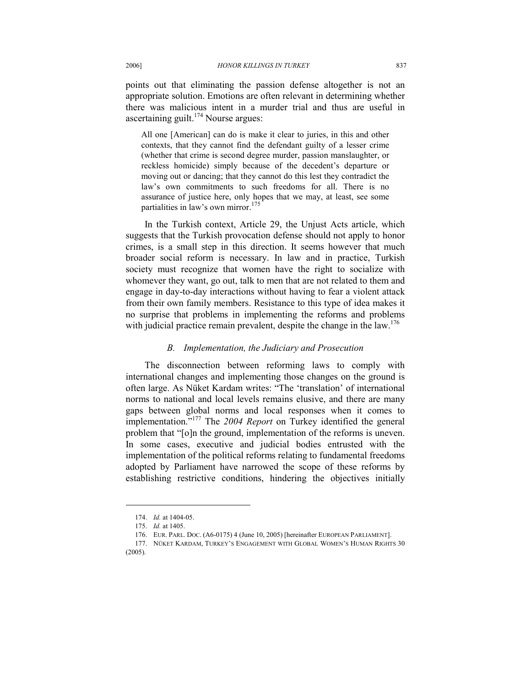points out that eliminating the passion defense altogether is not an appropriate solution. Emotions are often relevant in determining whether there was malicious intent in a murder trial and thus are useful in ascertaining guilt. $174$  Nourse argues:

All one [American] can do is make it clear to juries, in this and other contexts, that they cannot find the defendant guilty of a lesser crime (whether that crime is second degree murder, passion manslaughter, or reckless homicide) simply because of the decedent's departure or moving out or dancing; that they cannot do this lest they contradict the law's own commitments to such freedoms for all. There is no assurance of justice here, only hopes that we may, at least, see some partialities in law's own mirror.<sup>17</sup>

In the Turkish context, Article 29, the Unjust Acts article, which suggests that the Turkish provocation defense should not apply to honor crimes, is a small step in this direction. It seems however that much broader social reform is necessary. In law and in practice, Turkish society must recognize that women have the right to socialize with whomever they want, go out, talk to men that are not related to them and engage in day-to-day interactions without having to fear a violent attack from their own family members. Resistance to this type of idea makes it no surprise that problems in implementing the reforms and problems with judicial practice remain prevalent, despite the change in the law.<sup>176</sup>

## *B. Implementation, the Judiciary and Prosecution*

The disconnection between reforming laws to comply with international changes and implementing those changes on the ground is often large. As Nüket Kardam writes: "The 'translation' of international norms to national and local levels remains elusive, and there are many gaps between global norms and local responses when it comes to implementation."<sup>177</sup> The *2004 Report* on Turkey identified the general problem that "[o]n the ground, implementation of the reforms is uneven. In some cases, executive and judicial bodies entrusted with the implementation of the political reforms relating to fundamental freedoms adopted by Parliament have narrowed the scope of these reforms by establishing restrictive conditions, hindering the objectives initially

<sup>174.</sup> *Id.* at 1404-05.

<sup>175.</sup> *Id.* at 1405.

 <sup>176.</sup> EUR. PARL. DOC. (A6-0175) 4 (June 10, 2005) [hereinafter EUROPEAN PARLIAMENT].

 <sup>177.</sup> NÜKET KARDAM, TURKEY'S ENGAGEMENT WITH GLOBAL WOMEN'S HUMAN RIGHTS 30 (2005).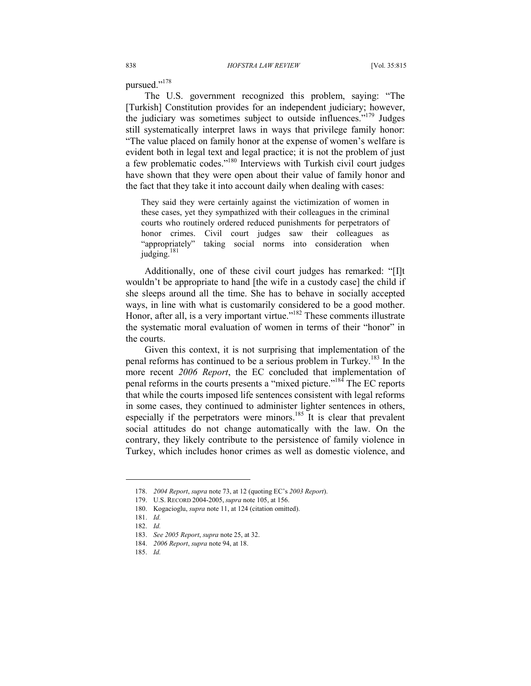pursued."<sup>178</sup>

The U.S. government recognized this problem, saying: "The [Turkish] Constitution provides for an independent judiciary; however, the judiciary was sometimes subject to outside influences."<sup>179</sup> Judges still systematically interpret laws in ways that privilege family honor: "The value placed on family honor at the expense of women's welfare is evident both in legal text and legal practice; it is not the problem of just a few problematic codes."<sup>180</sup> Interviews with Turkish civil court judges have shown that they were open about their value of family honor and the fact that they take it into account daily when dealing with cases:

They said they were certainly against the victimization of women in these cases, yet they sympathized with their colleagues in the criminal courts who routinely ordered reduced punishments for perpetrators of honor crimes. Civil court judges saw their colleagues as "appropriately" taking social norms into consideration when judging.<sup>181</sup>

Additionally, one of these civil court judges has remarked: "[I]t wouldn't be appropriate to hand [the wife in a custody case] the child if she sleeps around all the time. She has to behave in socially accepted ways, in line with what is customarily considered to be a good mother. Honor, after all, is a very important virtue."<sup>182</sup> These comments illustrate the systematic moral evaluation of women in terms of their "honor" in the courts.

Given this context, it is not surprising that implementation of the penal reforms has continued to be a serious problem in Turkey.<sup>183</sup> In the more recent *2006 Report*, the EC concluded that implementation of penal reforms in the courts presents a "mixed picture."<sup>184</sup> The EC reports that while the courts imposed life sentences consistent with legal reforms in some cases, they continued to administer lighter sentences in others, especially if the perpetrators were minors.<sup>185</sup> It is clear that prevalent social attitudes do not change automatically with the law. On the contrary, they likely contribute to the persistence of family violence in Turkey, which includes honor crimes as well as domestic violence, and

<sup>178.</sup> *2004 Report*, *supra* note 73, at 12 (quoting EC's *2003 Report*).

 <sup>179.</sup> U.S. RECORD 2004-2005, *supra* note 105, at 156.

 <sup>180.</sup> Kogacioglu, *supra* note 11, at 124 (citation omitted).

<sup>181.</sup> *Id.* 

<sup>182.</sup> *Id.*

<sup>183.</sup> *See 2005 Report*, *supra* note 25, at 32.

<sup>184.</sup> *2006 Report*, *supra* note 94, at 18.

<sup>185.</sup> *Id.*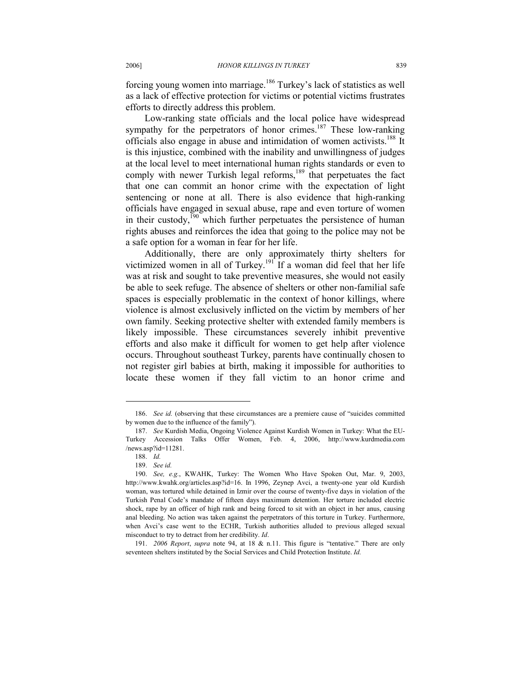forcing young women into marriage.<sup>186</sup> Turkey's lack of statistics as well as a lack of effective protection for victims or potential victims frustrates efforts to directly address this problem.

Low-ranking state officials and the local police have widespread sympathy for the perpetrators of honor crimes.<sup>187</sup> These low-ranking officials also engage in abuse and intimidation of women activists.<sup>188</sup> It is this injustice, combined with the inability and unwillingness of judges at the local level to meet international human rights standards or even to comply with newer Turkish legal reforms, $189$  that perpetuates the fact that one can commit an honor crime with the expectation of light sentencing or none at all. There is also evidence that high-ranking officials have engaged in sexual abuse, rape and even torture of women in their custody,<sup>190</sup> which further perpetuates the persistence of human rights abuses and reinforces the idea that going to the police may not be a safe option for a woman in fear for her life.

Additionally, there are only approximately thirty shelters for victimized women in all of Turkey.<sup>191</sup> If a woman did feel that her life was at risk and sought to take preventive measures, she would not easily be able to seek refuge. The absence of shelters or other non-familial safe spaces is especially problematic in the context of honor killings, where violence is almost exclusively inflicted on the victim by members of her own family. Seeking protective shelter with extended family members is likely impossible. These circumstances severely inhibit preventive efforts and also make it difficult for women to get help after violence occurs. Throughout southeast Turkey, parents have continually chosen to not register girl babies at birth, making it impossible for authorities to locate these women if they fall victim to an honor crime and

<sup>186.</sup> *See id.* (observing that these circumstances are a premiere cause of "suicides committed by women due to the influence of the family").

<sup>187.</sup> *See* Kurdish Media, Ongoing Violence Against Kurdish Women in Turkey: What the EU-Turkey Accession Talks Offer Women, Feb. 4, 2006, http://www.kurdmedia.com /news.asp?id=11281.

<sup>188.</sup> *Id.* 

<sup>189.</sup> *See id.*

<sup>190.</sup> *See, e.g.*, KWAHK, Turkey: The Women Who Have Spoken Out, Mar. 9, 2003, http://www.kwahk.org/articles.asp?id=16. In 1996, Zeynep Avci, a twenty-one year old Kurdish woman, was tortured while detained in Izmir over the course of twenty-five days in violation of the Turkish Penal Code's mandate of fifteen days maximum detention. Her torture included electric shock, rape by an officer of high rank and being forced to sit with an object in her anus, causing anal bleeding. No action was taken against the perpetrators of this torture in Turkey. Furthermore, when Avci's case went to the ECHR, Turkish authorities alluded to previous alleged sexual misconduct to try to detract from her credibility. *Id*.

<sup>191.</sup> *2006 Report*, *supra* note 94, at 18 & n.11. This figure is "tentative." There are only seventeen shelters instituted by the Social Services and Child Protection Institute. *Id.*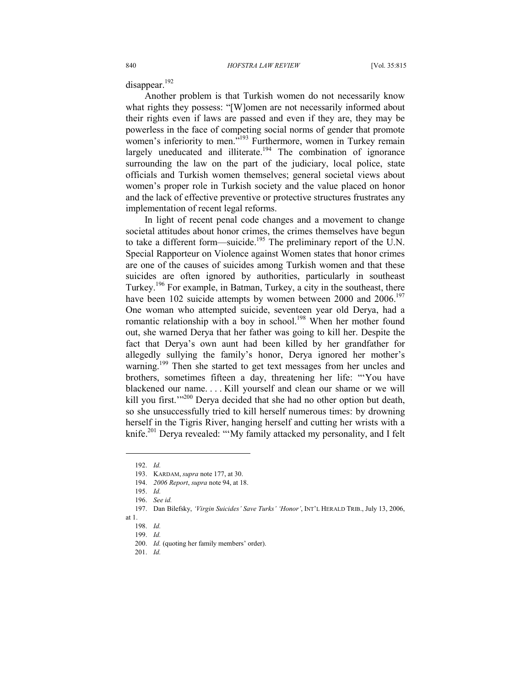disappear.<sup>192</sup>

Another problem is that Turkish women do not necessarily know what rights they possess: "[W]omen are not necessarily informed about their rights even if laws are passed and even if they are, they may be powerless in the face of competing social norms of gender that promote women's inferiority to men."<sup>193</sup> Furthermore, women in Turkey remain largely uneducated and illiterate.<sup>194</sup> The combination of ignorance surrounding the law on the part of the judiciary, local police, state officials and Turkish women themselves; general societal views about women's proper role in Turkish society and the value placed on honor and the lack of effective preventive or protective structures frustrates any implementation of recent legal reforms.

In light of recent penal code changes and a movement to change societal attitudes about honor crimes, the crimes themselves have begun to take a different form—suicide.<sup>195</sup> The preliminary report of the U.N. Special Rapporteur on Violence against Women states that honor crimes are one of the causes of suicides among Turkish women and that these suicides are often ignored by authorities, particularly in southeast Turkey.<sup>196</sup> For example, in Batman, Turkey, a city in the southeast, there have been 102 suicide attempts by women between 2000 and 2006.<sup>197</sup> One woman who attempted suicide, seventeen year old Derya, had a romantic relationship with a boy in school.<sup>198</sup> When her mother found out, she warned Derya that her father was going to kill her. Despite the fact that Derya's own aunt had been killed by her grandfather for allegedly sullying the family's honor, Derya ignored her mother's warning.<sup>199</sup> Then she started to get text messages from her uncles and brothers, sometimes fifteen a day, threatening her life: "'You have blackened our name. . . . Kill yourself and clean our shame or we will kill you first."<sup>200</sup> Derya decided that she had no other option but death, so she unsuccessfully tried to kill herself numerous times: by drowning herself in the Tigris River, hanging herself and cutting her wrists with a knife.<sup>201</sup> Derya revealed: "'My family attacked my personality, and I felt

<sup>192.</sup> *Id.*

 <sup>193.</sup> KARDAM, *supra* note 177, at 30.

<sup>194.</sup> *2006 Report*, *supra* note 94, at 18.

<sup>195.</sup> *Id.*

<sup>196.</sup> *See id.*

 <sup>197.</sup> Dan Bilefsky, *'Virgin Suicides' Save Turks' 'Honor'*, INT'L HERALD TRIB., July 13, 2006, at 1.

<sup>198.</sup> *Id.*

<sup>199.</sup> *Id.*

<sup>200.</sup> *Id.* (quoting her family members' order).

<sup>201.</sup> *Id.*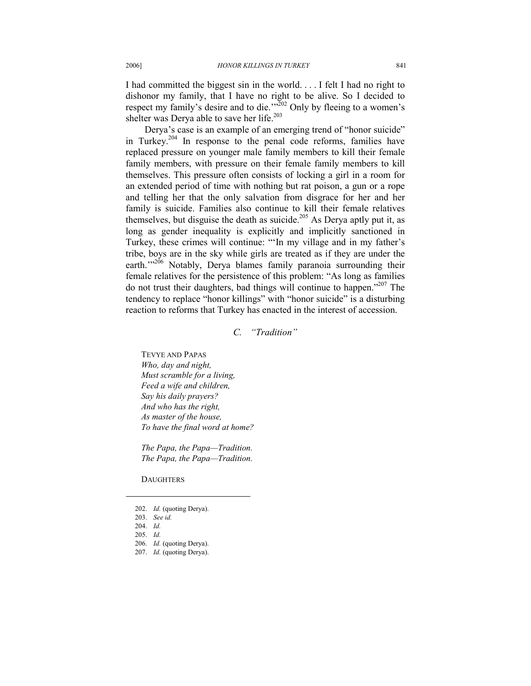I had committed the biggest sin in the world. . . . I felt I had no right to dishonor my family, that I have no right to be alive. So I decided to respect my family's desire and to die.'"<sup>202</sup> Only by fleeing to a women's shelter was Derya able to save her life.<sup>203</sup>

Derya's case is an example of an emerging trend of "honor suicide" in Turkey.<sup>204</sup> In response to the penal code reforms, families have replaced pressure on younger male family members to kill their female family members, with pressure on their female family members to kill themselves. This pressure often consists of locking a girl in a room for an extended period of time with nothing but rat poison, a gun or a rope and telling her that the only salvation from disgrace for her and her family is suicide. Families also continue to kill their female relatives themselves, but disguise the death as suicide.<sup>205</sup> As Derya aptly put it, as long as gender inequality is explicitly and implicitly sanctioned in Turkey, these crimes will continue: "'In my village and in my father's tribe, boys are in the sky while girls are treated as if they are under the earth."<sup>206</sup> Notably, Derya blames family paranoia surrounding their female relatives for the persistence of this problem: "As long as families do not trust their daughters, bad things will continue to happen."207 The tendency to replace "honor killings" with "honor suicide" is a disturbing reaction to reforms that Turkey has enacted in the interest of accession.

# *C. "Tradition"*

TEVYE AND PAPAS *Who, day and night, Must scramble for a living, Feed a wife and children, Say his daily prayers? And who has the right, As master of the house, To have the final word at home?* 

*The Papa, the Papa—Tradition. The Papa, the Papa—Tradition.*

DAUGHTERS

- 205. *Id.*
- 206. *Id.* (quoting Derya).
- 207. *Id.* (quoting Derya).

<sup>202.</sup> *Id.* (quoting Derya).

<sup>203.</sup> *See id.*

<sup>204.</sup> *Id.*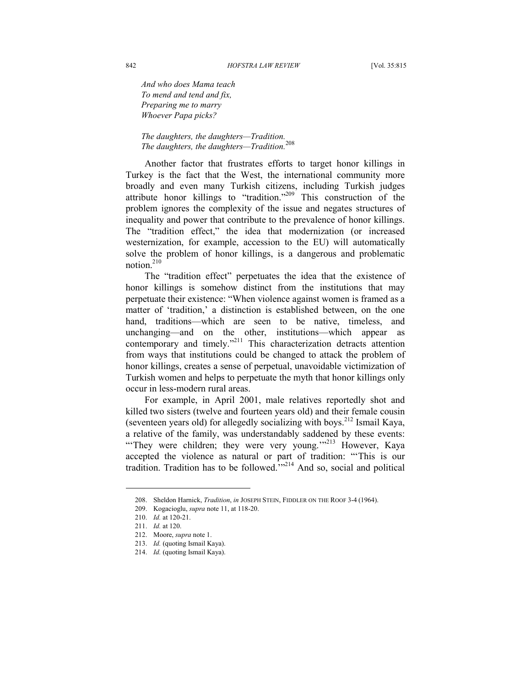*And who does Mama teach To mend and tend and fix, Preparing me to marry Whoever Papa picks?* 

*The daughters, the daughters—Tradition. The daughters, the daughters—Tradition.*<sup>208</sup>

Another factor that frustrates efforts to target honor killings in Turkey is the fact that the West, the international community more broadly and even many Turkish citizens, including Turkish judges attribute honor killings to "tradition."<sup>209</sup> This construction of the problem ignores the complexity of the issue and negates structures of inequality and power that contribute to the prevalence of honor killings. The "tradition effect," the idea that modernization (or increased westernization, for example, accession to the EU) will automatically solve the problem of honor killings, is a dangerous and problematic notion.<sup>210</sup>

The "tradition effect" perpetuates the idea that the existence of honor killings is somehow distinct from the institutions that may perpetuate their existence: "When violence against women is framed as a matter of 'tradition,' a distinction is established between, on the one hand, traditions—which are seen to be native, timeless, and unchanging—and on the other, institutions—which appear as contemporary and timely."<sup>211</sup> This characterization detracts attention from ways that institutions could be changed to attack the problem of honor killings, creates a sense of perpetual, unavoidable victimization of Turkish women and helps to perpetuate the myth that honor killings only occur in less-modern rural areas.

For example, in April 2001, male relatives reportedly shot and killed two sisters (twelve and fourteen years old) and their female cousin (seventeen years old) for allegedly socializing with boys.<sup>212</sup> Ismail Kaya, a relative of the family, was understandably saddened by these events: "They were children; they were very young."<sup>213</sup> However, Kaya accepted the violence as natural or part of tradition: "'This is our tradition. Tradition has to be followed.<sup>51,214</sup> And so, social and political

 <sup>208.</sup> Sheldon Harnick, *Tradition*, *in* JOSEPH STEIN, FIDDLER ON THE ROOF 3-4 (1964).

 <sup>209.</sup> Kogacioglu, *supra* note 11, at 118-20.

<sup>210.</sup> *Id.* at 120-21.

<sup>211.</sup> *Id.* at 120.

 <sup>212.</sup> Moore, *supra* note 1.

<sup>213.</sup> *Id.* (quoting Ismail Kaya).

<sup>214.</sup> *Id.* (quoting Ismail Kaya).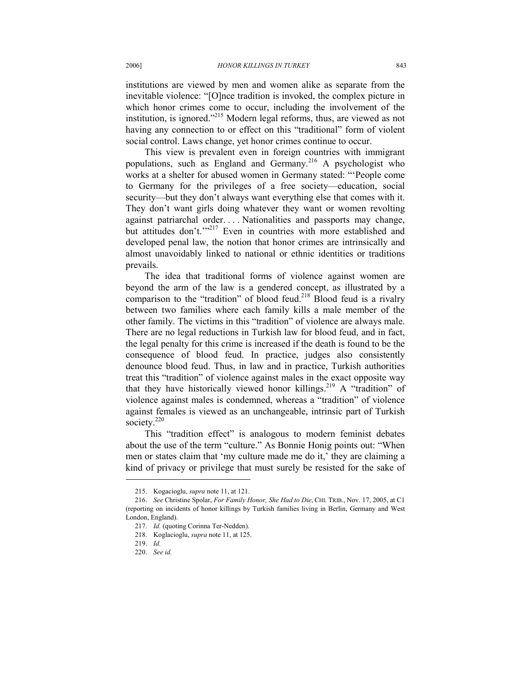institutions are viewed by men and women alike as separate from the inevitable violence: "[O]nce tradition is invoked, the complex picture in which honor crimes come to occur, including the involvement of the institution, is ignored."<sup>215</sup> Modern legal reforms, thus, are viewed as not having any connection to or effect on this "traditional" form of violent social control. Laws change, yet honor crimes continue to occur.

This view is prevalent even in foreign countries with immigrant populations, such as England and Germany.<sup>216</sup> A psychologist who works at a shelter for abused women in Germany stated: "'People come to Germany for the privileges of a free society—education, social security—but they don't always want everything else that comes with it. They don't want girls doing whatever they want or women revolting against patriarchal order. . . . Nationalities and passports may change, but attitudes don't."<sup>217</sup> Even in countries with more established and developed penal law, the notion that honor crimes are intrinsically and almost unavoidably linked to national or ethnic identities or traditions prevails.

The idea that traditional forms of violence against women are beyond the arm of the law is a gendered concept, as illustrated by a comparison to the "tradition" of blood feud.<sup>218</sup> Blood feud is a rivalry between two families where each family kills a male member of the other family. The victims in this "tradition" of violence are always male. There are no legal reductions in Turkish law for blood feud, and in fact, the legal penalty for this crime is increased if the death is found to be the consequence of blood feud. In practice, judges also consistently denounce blood feud. Thus, in law and in practice, Turkish authorities treat this "tradition" of violence against males in the exact opposite way that they have historically viewed honor killings.<sup>219</sup> A "tradition" of violence against males is condemned, whereas a "tradition" of violence against females is viewed as an unchangeable, intrinsic part of Turkish society.<sup>220</sup>

This "tradition effect" is analogous to modern feminist debates about the use of the term "culture." As Bonnie Honig points out: "When men or states claim that 'my culture made me do it,' they are claiming a kind of privacy or privilege that must surely be resisted for the sake of

 <sup>215.</sup> Kogacioglu, *supra* note 11, at 121.

<sup>216.</sup> *See* Christine Spolar, *For Family Honor, She Had to Die*, CHI. TRIB., Nov. 17, 2005, at C1 (reporting on incidents of honor killings by Turkish families living in Berlin, Germany and West London, England).

<sup>217.</sup> *Id.* (quoting Corinna Ter-Nedden).

 <sup>218.</sup> Koglacioglu, *supra* note 11, at 125.

<sup>219.</sup> *Id.*

<sup>220.</sup> *See id.*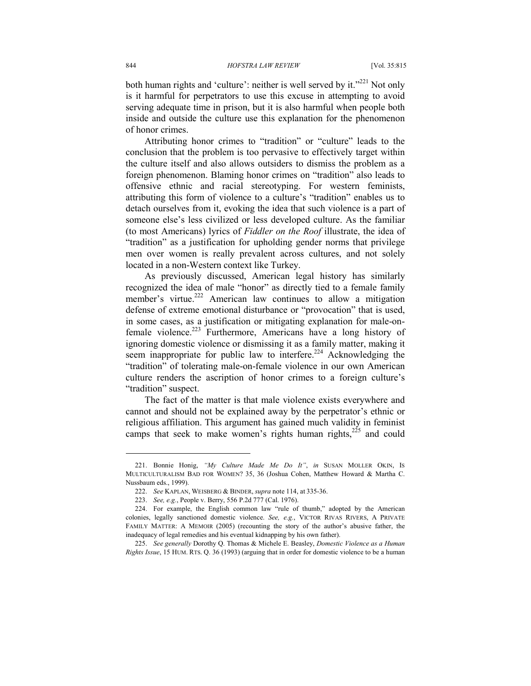both human rights and 'culture': neither is well served by it."<sup>221</sup> Not only is it harmful for perpetrators to use this excuse in attempting to avoid serving adequate time in prison, but it is also harmful when people both inside and outside the culture use this explanation for the phenomenon of honor crimes.

Attributing honor crimes to "tradition" or "culture" leads to the conclusion that the problem is too pervasive to effectively target within the culture itself and also allows outsiders to dismiss the problem as a foreign phenomenon. Blaming honor crimes on "tradition" also leads to offensive ethnic and racial stereotyping. For western feminists, attributing this form of violence to a culture's "tradition" enables us to detach ourselves from it, evoking the idea that such violence is a part of someone else's less civilized or less developed culture. As the familiar (to most Americans) lyrics of *Fiddler on the Roof* illustrate, the idea of "tradition" as a justification for upholding gender norms that privilege men over women is really prevalent across cultures, and not solely located in a non-Western context like Turkey.

As previously discussed, American legal history has similarly recognized the idea of male "honor" as directly tied to a female family member's virtue.<sup>222</sup> American law continues to allow a mitigation defense of extreme emotional disturbance or "provocation" that is used, in some cases, as a justification or mitigating explanation for male-onfemale violence.<sup>223</sup> Furthermore, Americans have a long history of ignoring domestic violence or dismissing it as a family matter, making it seem inappropriate for public law to interfere.<sup>224</sup> Acknowledging the "tradition" of tolerating male-on-female violence in our own American culture renders the ascription of honor crimes to a foreign culture's "tradition" suspect.

The fact of the matter is that male violence exists everywhere and cannot and should not be explained away by the perpetrator's ethnic or religious affiliation. This argument has gained much validity in feminist camps that seek to make women's rights human rights,<sup>225</sup> and could

 <sup>221.</sup> Bonnie Honig, *"My Culture Made Me Do It"*, *in* SUSAN MOLLER OKIN, IS MULTICULTURALISM BAD FOR WOMEN? 35, 36 (Joshua Cohen, Matthew Howard & Martha C. Nussbaum eds., 1999).

<sup>222.</sup> *See* KAPLAN, WEISBERG & BINDER, *supra* note 114, at 335-36.

<sup>223.</sup> *See, e.g.*, People v. Berry, 556 P.2d 777 (Cal. 1976).

 <sup>224.</sup> For example, the English common law "rule of thumb," adopted by the American colonies, legally sanctioned domestic violence. *See, e.g.*, VICTOR RIVAS RIVERS, A PRIVATE FAMILY MATTER: A MEMOIR (2005) (recounting the story of the author's abusive father, the inadequacy of legal remedies and his eventual kidnapping by his own father).

<sup>225.</sup> *See generally* Dorothy Q. Thomas & Michele E. Beasley, *Domestic Violence as a Human Rights Issue*, 15 HUM. RTS. Q. 36 (1993) (arguing that in order for domestic violence to be a human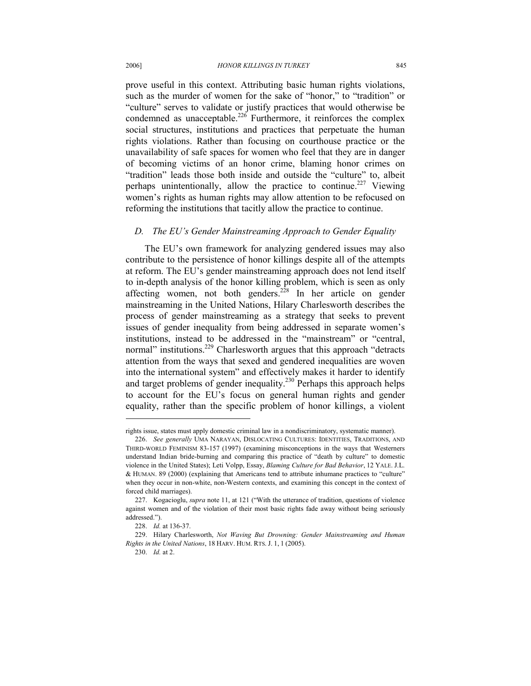prove useful in this context. Attributing basic human rights violations, such as the murder of women for the sake of "honor," to "tradition" or "culture" serves to validate or justify practices that would otherwise be condemned as unacceptable.<sup>226</sup> Furthermore, it reinforces the complex social structures, institutions and practices that perpetuate the human rights violations. Rather than focusing on courthouse practice or the unavailability of safe spaces for women who feel that they are in danger of becoming victims of an honor crime, blaming honor crimes on "tradition" leads those both inside and outside the "culture" to, albeit perhaps unintentionally, allow the practice to continue.<sup>227</sup> Viewing women's rights as human rights may allow attention to be refocused on reforming the institutions that tacitly allow the practice to continue.

## *D. The EU's Gender Mainstreaming Approach to Gender Equality*

The EU's own framework for analyzing gendered issues may also contribute to the persistence of honor killings despite all of the attempts at reform. The EU's gender mainstreaming approach does not lend itself to in-depth analysis of the honor killing problem, which is seen as only affecting women, not both genders.<sup>228</sup> In her article on gender mainstreaming in the United Nations, Hilary Charlesworth describes the process of gender mainstreaming as a strategy that seeks to prevent issues of gender inequality from being addressed in separate women's institutions, instead to be addressed in the "mainstream" or "central, normal" institutions.<sup>229</sup> Charlesworth argues that this approach "detracts attention from the ways that sexed and gendered inequalities are woven into the international system" and effectively makes it harder to identify and target problems of gender inequality.<sup>230</sup> Perhaps this approach helps to account for the EU's focus on general human rights and gender equality, rather than the specific problem of honor killings, a violent

rights issue, states must apply domestic criminal law in a nondiscriminatory, systematic manner).

<sup>226.</sup> *See generally* UMA NARAYAN, DISLOCATING CULTURES: IDENTITIES, TRADITIONS, AND THIRD-WORLD FEMINISM 83-157 (1997) (examining misconceptions in the ways that Westerners understand Indian bride-burning and comparing this practice of "death by culture" to domestic violence in the United States); Leti Volpp, Essay, *Blaming Culture for Bad Behavior*, 12 YALE. J.L. & HUMAN. 89 (2000) (explaining that Americans tend to attribute inhumane practices to "culture" when they occur in non-white, non-Western contexts, and examining this concept in the context of forced child marriages).

 <sup>227.</sup> Kogacioglu, *supra* note 11, at 121 ("With the utterance of tradition, questions of violence against women and of the violation of their most basic rights fade away without being seriously addressed.").

<sup>228.</sup> *Id.* at 136-37.

 <sup>229.</sup> Hilary Charlesworth, *Not Waving But Drowning: Gender Mainstreaming and Human Rights in the United Nations*, 18 HARV. HUM. RTS. J. 1, 1 (2005).

<sup>230.</sup> *Id.* at 2.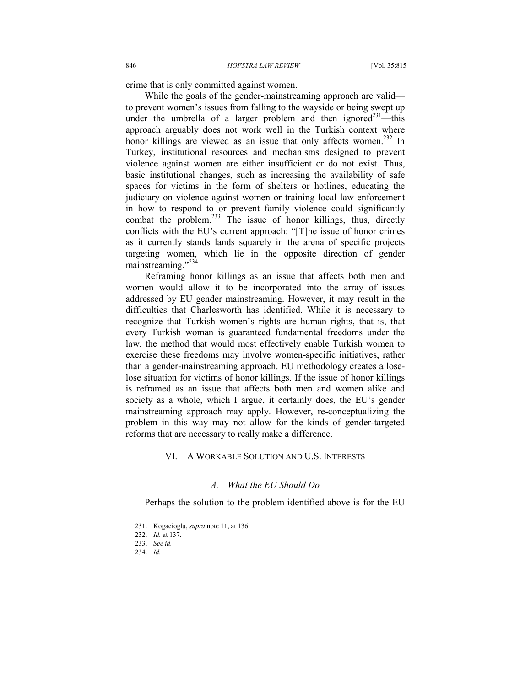crime that is only committed against women.

While the goals of the gender-mainstreaming approach are valid to prevent women's issues from falling to the wayside or being swept up under the umbrella of a larger problem and then ignored<sup>231</sup>—this approach arguably does not work well in the Turkish context where honor killings are viewed as an issue that only affects women.<sup>232</sup> In Turkey, institutional resources and mechanisms designed to prevent violence against women are either insufficient or do not exist. Thus, basic institutional changes, such as increasing the availability of safe spaces for victims in the form of shelters or hotlines, educating the judiciary on violence against women or training local law enforcement in how to respond to or prevent family violence could significantly combat the problem.<sup>233</sup> The issue of honor killings, thus, directly conflicts with the EU's current approach: "[T]he issue of honor crimes as it currently stands lands squarely in the arena of specific projects targeting women, which lie in the opposite direction of gender mainstreaming."<sup>234</sup>

Reframing honor killings as an issue that affects both men and women would allow it to be incorporated into the array of issues addressed by EU gender mainstreaming. However, it may result in the difficulties that Charlesworth has identified. While it is necessary to recognize that Turkish women's rights are human rights, that is, that every Turkish woman is guaranteed fundamental freedoms under the law, the method that would most effectively enable Turkish women to exercise these freedoms may involve women-specific initiatives, rather than a gender-mainstreaming approach. EU methodology creates a loselose situation for victims of honor killings. If the issue of honor killings is reframed as an issue that affects both men and women alike and society as a whole, which I argue, it certainly does, the EU's gender mainstreaming approach may apply. However, re-conceptualizing the problem in this way may not allow for the kinds of gender-targeted reforms that are necessary to really make a difference.

## VI. A WORKABLE SOLUTION AND U.S. INTERESTS

#### *A. What the EU Should Do*

Perhaps the solution to the problem identified above is for the EU

 <sup>231.</sup> Kogacioglu, *supra* note 11, at 136.

<sup>232.</sup> *Id.* at 137.

<sup>233.</sup> *See id.*

<sup>234.</sup> *Id.*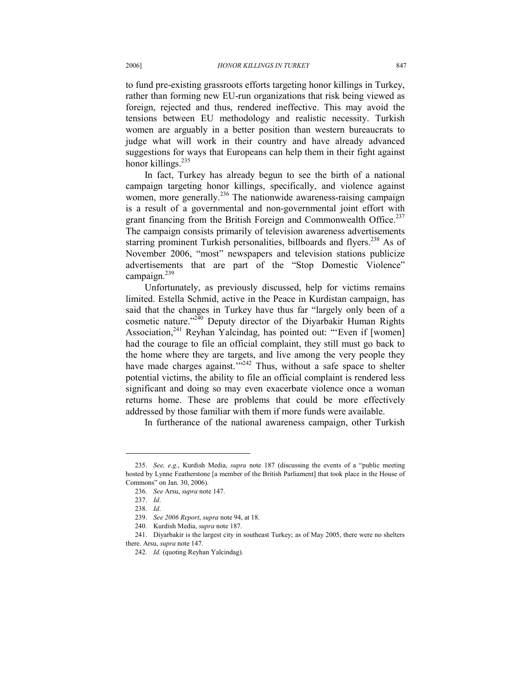to fund pre-existing grassroots efforts targeting honor killings in Turkey, rather than forming new EU-run organizations that risk being viewed as foreign, rejected and thus, rendered ineffective. This may avoid the tensions between EU methodology and realistic necessity. Turkish women are arguably in a better position than western bureaucrats to judge what will work in their country and have already advanced suggestions for ways that Europeans can help them in their fight against honor killings. $235$ 

In fact, Turkey has already begun to see the birth of a national campaign targeting honor killings, specifically, and violence against women, more generally.<sup>236</sup> The nationwide awareness-raising campaign is a result of a governmental and non-governmental joint effort with grant financing from the British Foreign and Commonwealth Office.<sup>237</sup> The campaign consists primarily of television awareness advertisements starring prominent Turkish personalities, billboards and flyers.<sup>238</sup> As of November 2006, "most" newspapers and television stations publicize advertisements that are part of the "Stop Domestic Violence" campaign. $^{239}$ 

Unfortunately, as previously discussed, help for victims remains limited. Estella Schmid, active in the Peace in Kurdistan campaign, has said that the changes in Turkey have thus far "largely only been of a cosmetic nature."<sup>240</sup> Deputy director of the Diyarbakir Human Rights Association,<sup>241</sup> Reyhan Yalcindag, has pointed out: "Even if [women] had the courage to file an official complaint, they still must go back to the home where they are targets, and live among the very people they have made charges against."<sup>242</sup> Thus, without a safe space to shelter potential victims, the ability to file an official complaint is rendered less significant and doing so may even exacerbate violence once a woman returns home. These are problems that could be more effectively addressed by those familiar with them if more funds were available.

In furtherance of the national awareness campaign, other Turkish

<sup>235.</sup> *See, e.g.*, Kurdish Media, *supra* note 187 (discussing the events of a "public meeting hosted by Lynne Featherstone [a member of the British Parliament] that took place in the House of Commons" on Jan. 30, 2006).

 <sup>236.</sup> *See* Arsu, *supra* note 147.

<sup>237.</sup> *Id*.

<sup>238.</sup> *Id*.

<sup>239.</sup> *See 2006 Report*, *supra* note 94, at 18.

 <sup>240.</sup> Kurdish Media, *supra* note 187.

 <sup>241.</sup> Diyarbakir is the largest city in southeast Turkey; as of May 2005, there were no shelters there. Arsu, *supra* note 147.

 <sup>242.</sup> *Id.* (quoting Reyhan Yalcindag).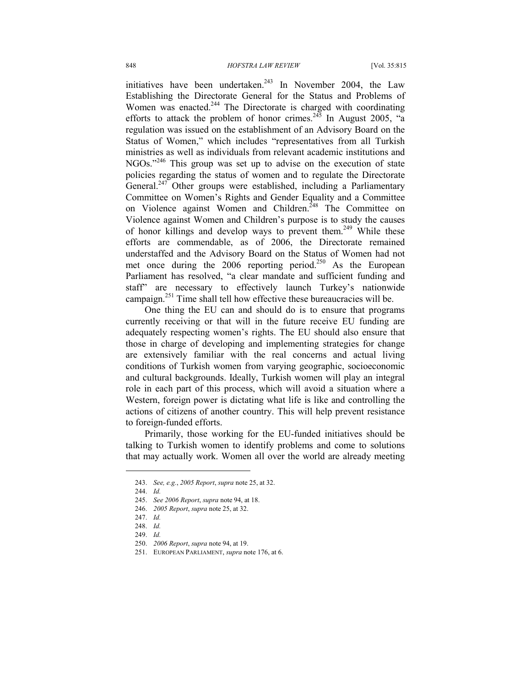initiatives have been undertaken.<sup>243</sup> In November 2004, the Law Establishing the Directorate General for the Status and Problems of Women was enacted.<sup>244</sup> The Directorate is charged with coordinating efforts to attack the problem of honor crimes.<sup>245</sup> In August 2005, "a regulation was issued on the establishment of an Advisory Board on the Status of Women," which includes "representatives from all Turkish ministries as well as individuals from relevant academic institutions and NGOs."<sup>246</sup> This group was set up to advise on the execution of state policies regarding the status of women and to regulate the Directorate General.<sup>247</sup> Other groups were established, including a Parliamentary Committee on Women's Rights and Gender Equality and a Committee on Violence against Women and Children.<sup>248</sup> The Committee on Violence against Women and Children's purpose is to study the causes of honor killings and develop ways to prevent them.<sup>249</sup> While these efforts are commendable, as of 2006, the Directorate remained understaffed and the Advisory Board on the Status of Women had not met once during the  $2006$  reporting period.<sup>250</sup> As the European Parliament has resolved, "a clear mandate and sufficient funding and staff" are necessary to effectively launch Turkey's nationwide campaign.<sup>251</sup> Time shall tell how effective these bureaucracies will be.

One thing the EU can and should do is to ensure that programs currently receiving or that will in the future receive EU funding are adequately respecting women's rights. The EU should also ensure that those in charge of developing and implementing strategies for change are extensively familiar with the real concerns and actual living conditions of Turkish women from varying geographic, socioeconomic and cultural backgrounds. Ideally, Turkish women will play an integral role in each part of this process, which will avoid a situation where a Western, foreign power is dictating what life is like and controlling the actions of citizens of another country. This will help prevent resistance to foreign-funded efforts.

Primarily, those working for the EU-funded initiatives should be talking to Turkish women to identify problems and come to solutions that may actually work. Women all over the world are already meeting

<sup>243.</sup> *See, e.g.*, *2005 Report*, *supra* note 25, at 32.

<sup>244.</sup> *Id.*

<sup>245.</sup> *See 2006 Report*, *supra* note 94, at 18.

<sup>246.</sup> *2005 Report*, *supra* note 25, at 32.

<sup>247.</sup> *Id.*

<sup>248.</sup> *Id.*

<sup>249.</sup> *Id.*

<sup>250.</sup> *2006 Report*, *supra* note 94, at 19.

<sup>251.</sup> EUROPEAN PARLIAMENT, *supra* note 176, at 6.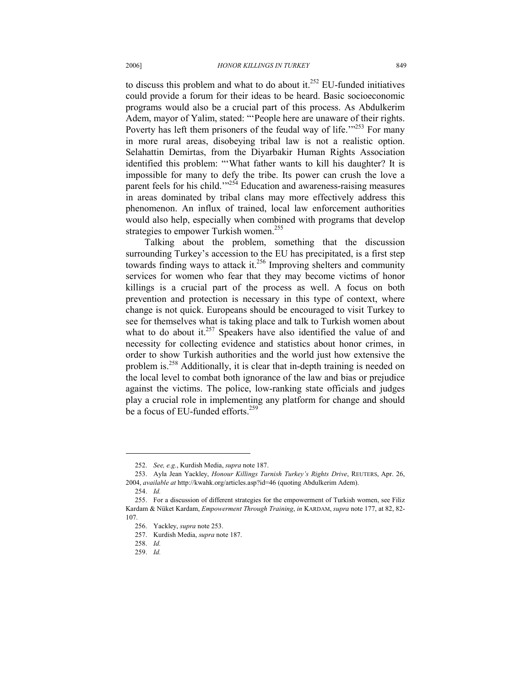to discuss this problem and what to do about it.<sup>252</sup> EU-funded initiatives could provide a forum for their ideas to be heard. Basic socioeconomic programs would also be a crucial part of this process. As Abdulkerim Adem, mayor of Yalim, stated: "'People here are unaware of their rights. Poverty has left them prisoners of the feudal way of life.<sup> $2253$ </sup> For many in more rural areas, disobeying tribal law is not a realistic option. Selahattin Demirtas, from the Diyarbakir Human Rights Association identified this problem: "'What father wants to kill his daughter? It is impossible for many to defy the tribe. Its power can crush the love a parent feels for his child.'"<sup>254</sup> Education and awareness-raising measures in areas dominated by tribal clans may more effectively address this phenomenon. An influx of trained, local law enforcement authorities would also help, especially when combined with programs that develop strategies to empower Turkish women.<sup>255</sup>

Talking about the problem, something that the discussion surrounding Turkey's accession to the EU has precipitated, is a first step towards finding ways to attack it.<sup>256</sup> Improving shelters and community services for women who fear that they may become victims of honor killings is a crucial part of the process as well. A focus on both prevention and protection is necessary in this type of context, where change is not quick. Europeans should be encouraged to visit Turkey to see for themselves what is taking place and talk to Turkish women about what to do about it.<sup>257</sup> Speakers have also identified the value of and necessity for collecting evidence and statistics about honor crimes, in order to show Turkish authorities and the world just how extensive the problem is.<sup>258</sup> Additionally, it is clear that in-depth training is needed on the local level to combat both ignorance of the law and bias or prejudice against the victims. The police, low-ranking state officials and judges play a crucial role in implementing any platform for change and should be a focus of EU-funded efforts.<sup>259</sup>

<sup>252.</sup> *See, e.g.*, Kurdish Media, *supra* note 187.

 <sup>253.</sup> Ayla Jean Yackley, *Honour Killings Tarnish Turkey's Rights Drive*, REUTERS, Apr. 26, 2004, *available at* http://kwahk.org/articles.asp?id=46 (quoting Abdulkerim Adem).

<sup>254.</sup> *Id.*

 <sup>255.</sup> For a discussion of different strategies for the empowerment of Turkish women, see Filiz Kardam & Nüket Kardam, *Empowerment Through Training*, *in* KARDAM, *supra* note 177, at 82, 82- 107.

 <sup>256.</sup> Yackley, *supra* note 253.

 <sup>257.</sup> Kurdish Media, *supra* note 187.

<sup>258.</sup> *Id.*

<sup>259.</sup> *Id.*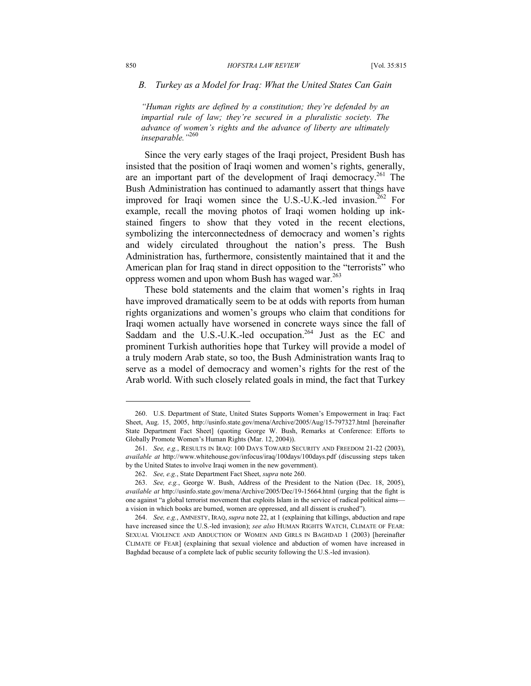*B. Turkey as a Model for Iraq: What the United States Can Gain* 

*"Human rights are defined by a constitution; they're defended by an impartial rule of law; they're secured in a pluralistic society. The advance of women's rights and the advance of liberty are ultimately inseparable."*<sup>260</sup>

Since the very early stages of the Iraqi project, President Bush has insisted that the position of Iraqi women and women's rights, generally, are an important part of the development of Iraqi democracy.<sup>261</sup> The Bush Administration has continued to adamantly assert that things have improved for Iraqi women since the U.S.-U.K.-led invasion.<sup>262</sup> For example, recall the moving photos of Iraqi women holding up inkstained fingers to show that they voted in the recent elections, symbolizing the interconnectedness of democracy and women's rights and widely circulated throughout the nation's press. The Bush Administration has, furthermore, consistently maintained that it and the American plan for Iraq stand in direct opposition to the "terrorists" who oppress women and upon whom Bush has waged war. $263$ 

These bold statements and the claim that women's rights in Iraq have improved dramatically seem to be at odds with reports from human rights organizations and women's groups who claim that conditions for Iraqi women actually have worsened in concrete ways since the fall of Saddam and the U.S.-U.K.-led occupation.<sup>264</sup> Just as the EC and prominent Turkish authorities hope that Turkey will provide a model of a truly modern Arab state, so too, the Bush Administration wants Iraq to serve as a model of democracy and women's rights for the rest of the Arab world. With such closely related goals in mind, the fact that Turkey

 <sup>260.</sup> U.S. Department of State, United States Supports Women's Empowerment in Iraq: Fact Sheet, Aug. 15, 2005, http://usinfo.state.gov/mena/Archive/2005/Aug/15-797327.html [hereinafter State Department Fact Sheet] (quoting George W. Bush, Remarks at Conference: Efforts to Globally Promote Women's Human Rights (Mar. 12, 2004)).

<sup>261.</sup> *See, e.g.*, RESULTS IN IRAQ: 100 DAYS TOWARD SECURITY AND FREEDOM 21-22 (2003), *available at* http://www.whitehouse.gov/infocus/iraq/100days/100days.pdf (discussing steps taken by the United States to involve Iraqi women in the new government).

<sup>262.</sup> *See, e.g.*, State Department Fact Sheet, *supra* note 260.

<sup>263.</sup> *See, e.g.*, George W. Bush, Address of the President to the Nation (Dec. 18, 2005), *available at* http://usinfo.state.gov/mena/Archive/2005/Dec/19-15664.html (urging that the fight is one against "a global terrorist movement that exploits Islam in the service of radical political aims a vision in which books are burned, women are oppressed, and all dissent is crushed").

<sup>264.</sup> *See, e.g.*, AMNESTY, IRAQ, *supra* note 22, at 1 (explaining that killings, abduction and rape have increased since the U.S.-led invasion); *see also* HUMAN RIGHTS WATCH, CLIMATE OF FEAR: SEXUAL VIOLENCE AND ABDUCTION OF WOMEN AND GIRLS IN BAGHDAD 1 (2003) [hereinafter CLIMATE OF FEAR] (explaining that sexual violence and abduction of women have increased in Baghdad because of a complete lack of public security following the U.S.-led invasion).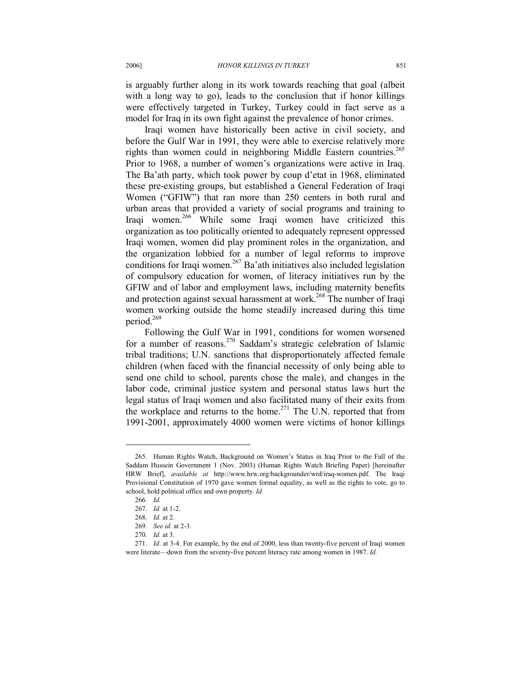is arguably further along in its work towards reaching that goal (albeit with a long way to go), leads to the conclusion that if honor killings were effectively targeted in Turkey, Turkey could in fact serve as a model for Iraq in its own fight against the prevalence of honor crimes.

Iraqi women have historically been active in civil society, and before the Gulf War in 1991, they were able to exercise relatively more rights than women could in neighboring Middle Eastern countries.<sup>265</sup> Prior to 1968, a number of women's organizations were active in Iraq. The Ba'ath party, which took power by coup d'etat in 1968, eliminated these pre-existing groups, but established a General Federation of Iraqi Women ("GFIW") that ran more than 250 centers in both rural and urban areas that provided a variety of social programs and training to Iraqi women.<sup>266</sup> While some Iraqi women have criticized this organization as too politically oriented to adequately represent oppressed Iraqi women, women did play prominent roles in the organization, and the organization lobbied for a number of legal reforms to improve conditions for Iraqi women.<sup>267</sup> Ba'ath initiatives also included legislation of compulsory education for women, of literacy initiatives run by the GFIW and of labor and employment laws, including maternity benefits and protection against sexual harassment at work.<sup>268</sup> The number of Iraqi women working outside the home steadily increased during this time period.<sup>269</sup>

Following the Gulf War in 1991, conditions for women worsened for a number of reasons.<sup>270</sup> Saddam's strategic celebration of Islamic tribal traditions; U.N. sanctions that disproportionately affected female children (when faced with the financial necessity of only being able to send one child to school, parents chose the male), and changes in the labor code, criminal justice system and personal status laws hurt the legal status of Iraqi women and also facilitated many of their exits from the workplace and returns to the home.<sup>271</sup> The U.N. reported that from 1991-2001, approximately 4000 women were victims of honor killings

 <sup>265.</sup> Human Rights Watch, Background on Women's Status in Iraq Prior to the Fall of the Saddam Hussein Government 1 (Nov. 2003) (Human Rights Watch Briefing Paper) [hereinafter HRW Brief], *available at* http://www.hrw.org/backgrounder/wrd/iraq-women.pdf. The Iraqi Provisional Constitution of 1970 gave women formal equality, as well as the rights to vote, go to school, hold political office and own property. *Id.*

<sup>266.</sup> *Id.*

<sup>267.</sup> *Id.* at 1-2.

<sup>268.</sup> *Id.* at 2.

<sup>269.</sup> *See id.* at 2-3.

<sup>270.</sup> *Id.* at 3.

<sup>271.</sup> *Id*. at 3-4. For example, by the end of 2000, less than twenty-five percent of Iraqi women were literate—down from the seventy-five percent literacy rate among women in 1987. *Id.*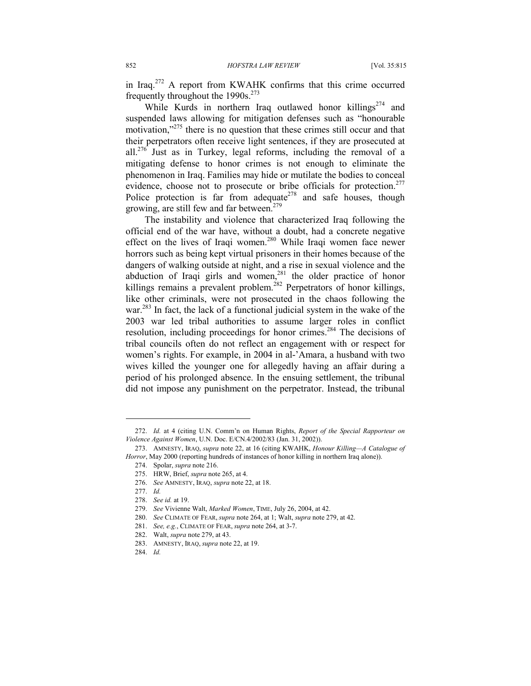in Iraq.<sup>272</sup> A report from KWAHK confirms that this crime occurred frequently throughout the 1990s.<sup>273</sup>

While Kurds in northern Iraq outlawed honor killings<sup>274</sup> and suspended laws allowing for mitigation defenses such as "honourable motivation,"<sup>275</sup> there is no question that these crimes still occur and that their perpetrators often receive light sentences, if they are prosecuted at all.<sup>276</sup> Just as in Turkey, legal reforms, including the removal of a mitigating defense to honor crimes is not enough to eliminate the phenomenon in Iraq. Families may hide or mutilate the bodies to conceal evidence, choose not to prosecute or bribe officials for protection.<sup>277</sup> Police protection is far from adequate<sup>278</sup> and safe houses, though growing, are still few and far between.<sup>279</sup>

The instability and violence that characterized Iraq following the official end of the war have, without a doubt, had a concrete negative effect on the lives of Iraqi women.<sup>280</sup> While Iraqi women face newer horrors such as being kept virtual prisoners in their homes because of the dangers of walking outside at night, and a rise in sexual violence and the abduction of Iraqi girls and women, $281$  the older practice of honor killings remains a prevalent problem.<sup>282</sup> Perpetrators of honor killings, like other criminals, were not prosecuted in the chaos following the war.<sup>283</sup> In fact, the lack of a functional judicial system in the wake of the 2003 war led tribal authorities to assume larger roles in conflict resolution, including proceedings for honor crimes.<sup>284</sup> The decisions of tribal councils often do not reflect an engagement with or respect for women's rights. For example, in 2004 in al-'Amara, a husband with two wives killed the younger one for allegedly having an affair during a period of his prolonged absence. In the ensuing settlement, the tribunal did not impose any punishment on the perpetrator. Instead, the tribunal

276. *See* AMNESTY, IRAQ, *supra* note 22, at 18.

<sup>272.</sup> *Id.* at 4 (citing U.N. Comm'n on Human Rights, *Report of the Special Rapporteur on Violence Against Women*, U.N. Doc. E/CN.4/2002/83 (Jan. 31, 2002)).

<sup>273.</sup> AMNESTY, IRAQ, *supra* note 22, at 16 (citing KWAHK, *Honour Killing—A Catalogue of Horror*, May 2000 (reporting hundreds of instances of honor killing in northern Iraq alone)).

 <sup>274.</sup> Spolar, *supra* note 216.

<sup>275.</sup> HRW, Brief, *supra* note 265, at 4.

<sup>277.</sup> *Id.*

<sup>278.</sup> *See id.* at 19.

 <sup>279.</sup> *See* Vivienne Walt, *Marked Women*, TIME, July 26, 2004, at 42.

<sup>280.</sup> *See* CLIMATE OF FEAR, *supra* note 264, at 1; Walt, *supra* note 279, at 42.

<sup>281.</sup> *See, e.g.*, CLIMATE OF FEAR, *supra* note 264, at 3-7.

<sup>282.</sup> Walt, *supra* note 279, at 43.

<sup>283.</sup> AMNESTY, IRAQ, *supra* note 22, at 19.

<sup>284.</sup> *Id.*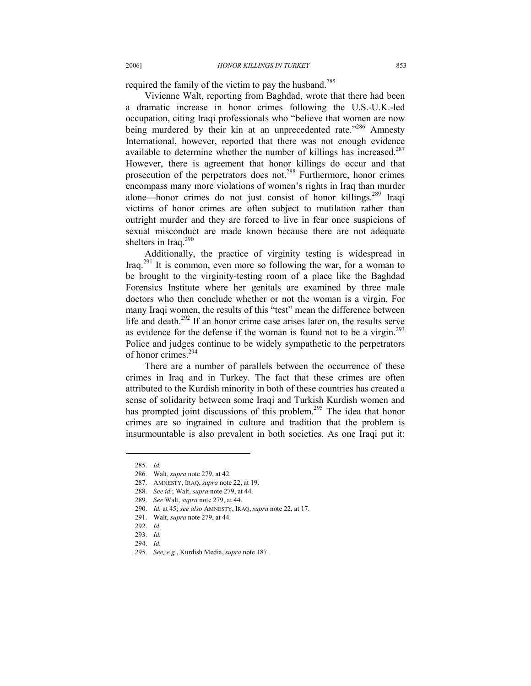required the family of the victim to pay the husband.<sup>285</sup>

Vivienne Walt, reporting from Baghdad, wrote that there had been a dramatic increase in honor crimes following the U.S.-U.K.-led occupation, citing Iraqi professionals who "believe that women are now being murdered by their kin at an unprecedented rate."<sup>286</sup> Amnesty International, however, reported that there was not enough evidence available to determine whether the number of killings has increased.<sup>287</sup> However, there is agreement that honor killings do occur and that prosecution of the perpetrators does not.<sup>288</sup> Furthermore, honor crimes encompass many more violations of women's rights in Iraq than murder alone—honor crimes do not just consist of honor killings.<sup>289</sup> Iraqi victims of honor crimes are often subject to mutilation rather than outright murder and they are forced to live in fear once suspicions of sexual misconduct are made known because there are not adequate shelters in Iraq. $^{290}$ 

Additionally, the practice of virginity testing is widespread in Iraq.<sup>291</sup> It is common, even more so following the war, for a woman to be brought to the virginity-testing room of a place like the Baghdad Forensics Institute where her genitals are examined by three male doctors who then conclude whether or not the woman is a virgin. For many Iraqi women, the results of this "test" mean the difference between life and death.<sup>292</sup> If an honor crime case arises later on, the results serve as evidence for the defense if the woman is found not to be a virgin.<sup>293</sup> Police and judges continue to be widely sympathetic to the perpetrators of honor crimes.<sup>294</sup>

There are a number of parallels between the occurrence of these crimes in Iraq and in Turkey. The fact that these crimes are often attributed to the Kurdish minority in both of these countries has created a sense of solidarity between some Iraqi and Turkish Kurdish women and has prompted joint discussions of this problem.<sup>295</sup> The idea that honor crimes are so ingrained in culture and tradition that the problem is insurmountable is also prevalent in both societies. As one Iraqi put it:

<sup>285.</sup> *Id.*

 <sup>286.</sup> Walt, *supra* note 279, at 42.

<sup>287.</sup> AMNESTY, IRAQ, *supra* note 22, at 19.

 <sup>288.</sup> *See id.*; Walt, *supra* note 279, at 44.

 <sup>289.</sup> *See* Walt, *supra* note 279, at 44.

<sup>290.</sup> *Id.* at 45; *see also* AMNESTY, IRAQ, *supra* note 22, at 17.

<sup>291.</sup> Walt, *supra* note 279, at 44.

<sup>292.</sup> *Id.*

<sup>293.</sup> *Id.*

<sup>294.</sup> *Id.*

<sup>295.</sup> *See, e.g.*, Kurdish Media, *supra* note 187.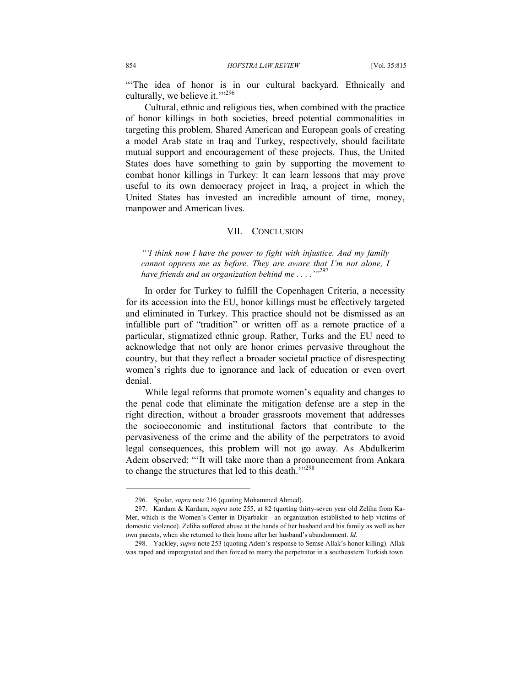"The idea of honor is in our cultural backyard. Ethnically and culturally, we believe it.""296

Cultural, ethnic and religious ties, when combined with the practice of honor killings in both societies, breed potential commonalities in targeting this problem. Shared American and European goals of creating a model Arab state in Iraq and Turkey, respectively, should facilitate mutual support and encouragement of these projects. Thus, the United States does have something to gain by supporting the movement to combat honor killings in Turkey: It can learn lessons that may prove useful to its own democracy project in Iraq, a project in which the United States has invested an incredible amount of time, money, manpower and American lives.

## VII. CONCLUSION

*"'I think now I have the power to fight with injustice. And my family cannot oppress me as before. They are aware that I'm not alone, I* have friends and an organization behind me . . . . ''<sup>297</sup>

In order for Turkey to fulfill the Copenhagen Criteria, a necessity for its accession into the EU, honor killings must be effectively targeted and eliminated in Turkey. This practice should not be dismissed as an infallible part of "tradition" or written off as a remote practice of a particular, stigmatized ethnic group. Rather, Turks and the EU need to acknowledge that not only are honor crimes pervasive throughout the country, but that they reflect a broader societal practice of disrespecting women's rights due to ignorance and lack of education or even overt denial.

While legal reforms that promote women's equality and changes to the penal code that eliminate the mitigation defense are a step in the right direction, without a broader grassroots movement that addresses the socioeconomic and institutional factors that contribute to the pervasiveness of the crime and the ability of the perpetrators to avoid legal consequences, this problem will not go away. As Abdulkerim Adem observed: "'It will take more than a pronouncement from Ankara to change the structures that led to this death."<sup>298</sup>

 <sup>296.</sup> Spolar, *supra* note 216 (quoting Mohammed Ahmed).

 <sup>297.</sup> Kardam & Kardam, *supra* note 255, at 82 (quoting thirty-seven year old Zeliha from Ka-Mer, which is the Women's Center in Diyarbakir—an organization established to help victims of domestic violence). Zeliha suffered abuse at the hands of her husband and his family as well as her own parents, when she returned to their home after her husband's abandonment. *Id.*

 <sup>298.</sup> Yackley, *supra* note 253 (quoting Adem's response to Semse Allak's honor killing). Allak was raped and impregnated and then forced to marry the perpetrator in a southeastern Turkish town.